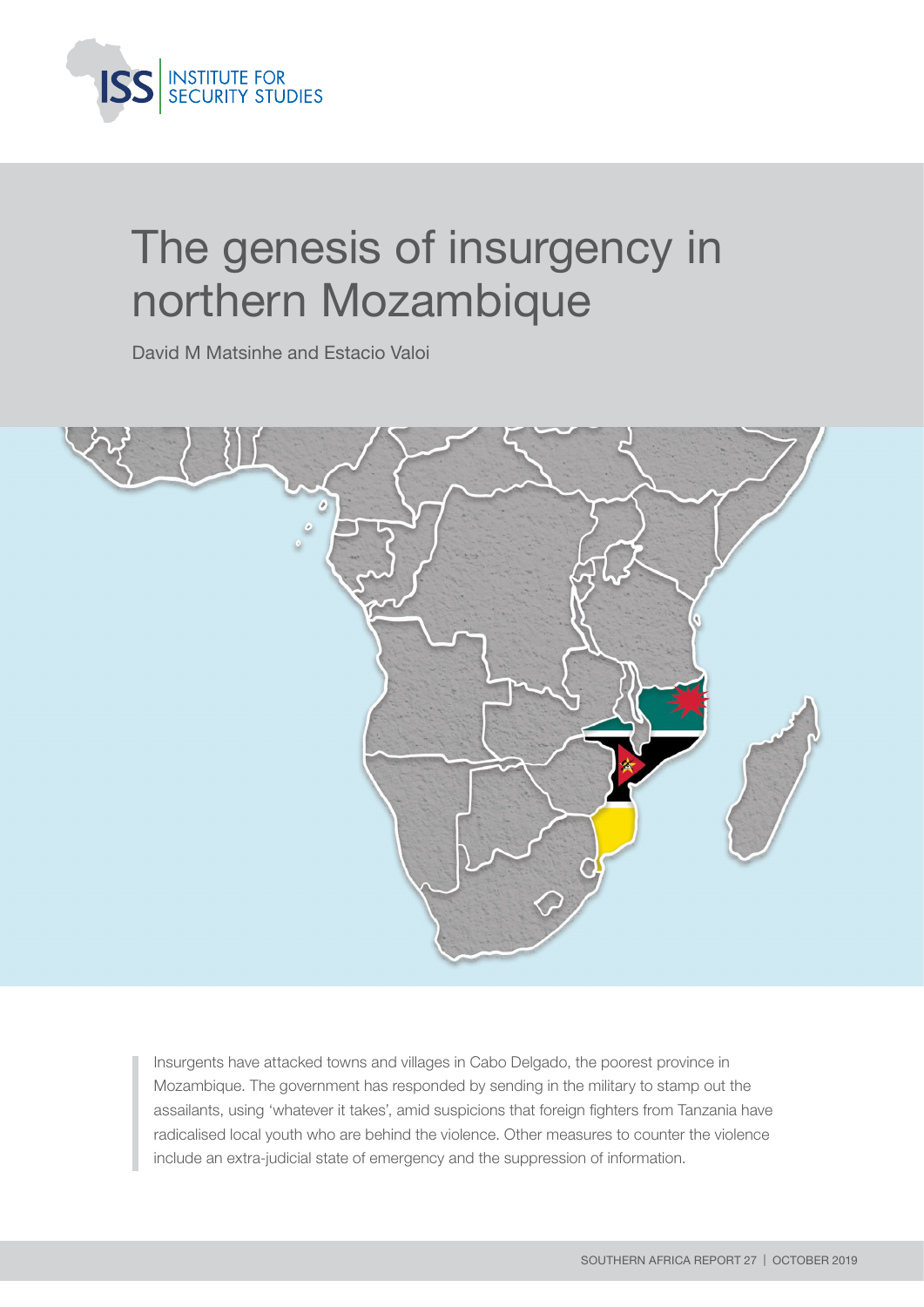

# The genesis of insurgency in northern Mozambique

David M Matsinhe and Estacio Valoi



Insurgents have attacked towns and villages in Cabo Delgado, the poorest province in Mozambique. The government has responded by sending in the military to stamp out the assailants, using 'whatever it takes', amid suspicions that foreign fighters from Tanzania have radicalised local youth who are behind the violence. Other measures to counter the violence include an extra-judicial state of emergency and the suppression of information.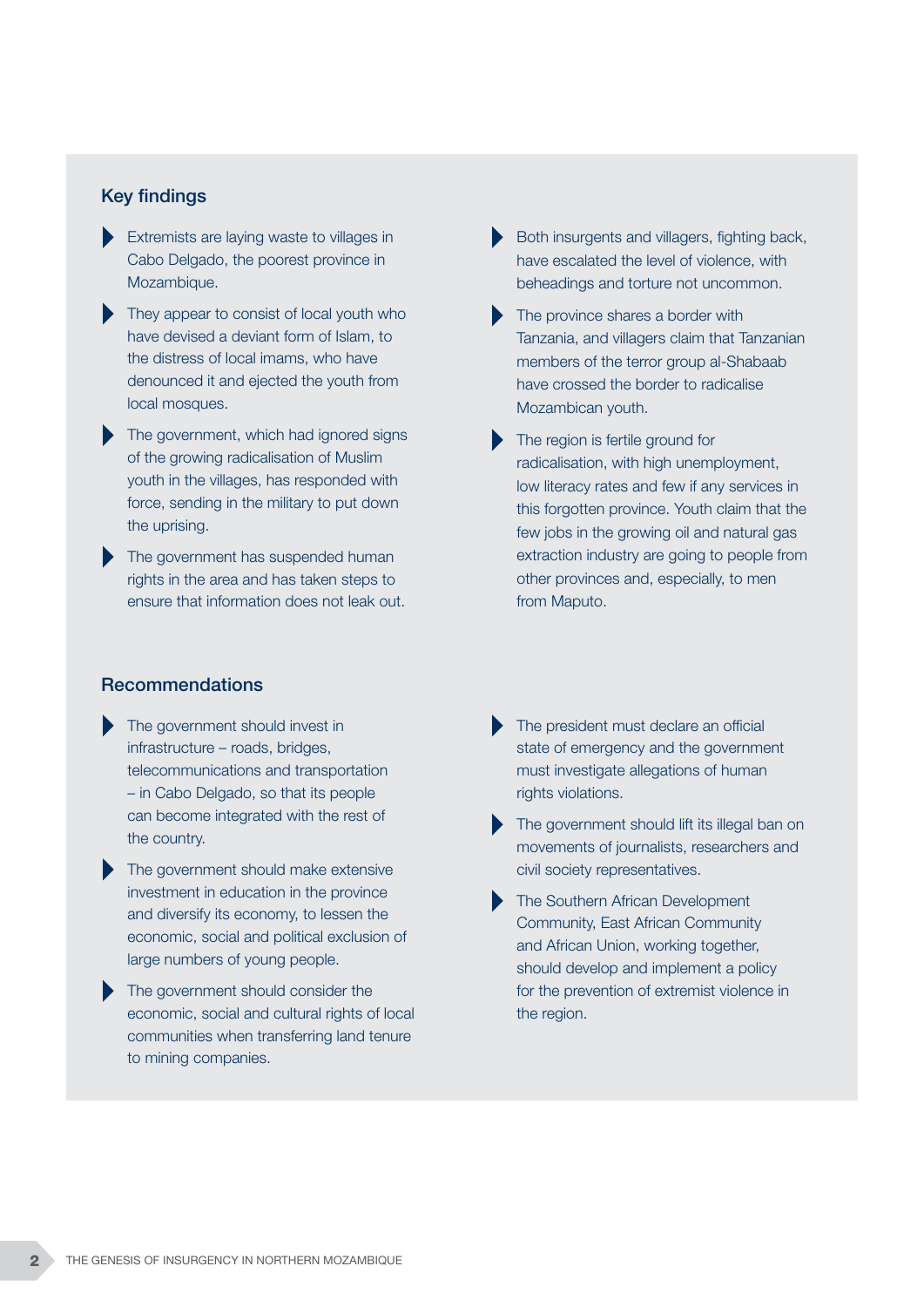#### Key findings

- Extremists are laying waste to villages in Cabo Delgado, the poorest province in Mozambique.
- They appear to consist of local youth who have devised a deviant form of Islam, to the distress of local imams, who have denounced it and ejected the youth from local mosques.
- The government, which had ignored signs of the growing radicalisation of Muslim youth in the villages, has responded with force, sending in the military to put down the uprising.
- The government has suspended human rights in the area and has taken steps to ensure that information does not leak out.

#### Recommendations

- The government should invest in infrastructure – roads, bridges, telecommunications and transportation – in Cabo Delgado, so that its people can become integrated with the rest of the country.
- The government should make extensive investment in education in the province and diversify its economy, to lessen the economic, social and political exclusion of large numbers of young people.
- The government should consider the economic, social and cultural rights of local communities when transferring land tenure to mining companies.
- Both insurgents and villagers, fighting back, have escalated the level of violence, with beheadings and torture not uncommon.
- The province shares a border with Tanzania, and villagers claim that Tanzanian members of the terror group al-Shabaab have crossed the border to radicalise Mozambican youth.
- The region is fertile ground for radicalisation, with high unemployment, low literacy rates and few if any services in this forgotten province. Youth claim that the few jobs in the growing oil and natural gas extraction industry are going to people from other provinces and, especially, to men from Maputo.
- The president must declare an official state of emergency and the government must investigate allegations of human rights violations.
- The government should lift its illegal ban on movements of journalists, researchers and civil society representatives.
- The Southern African Development Community, East African Community and African Union, working together, should develop and implement a policy for the prevention of extremist violence in the region.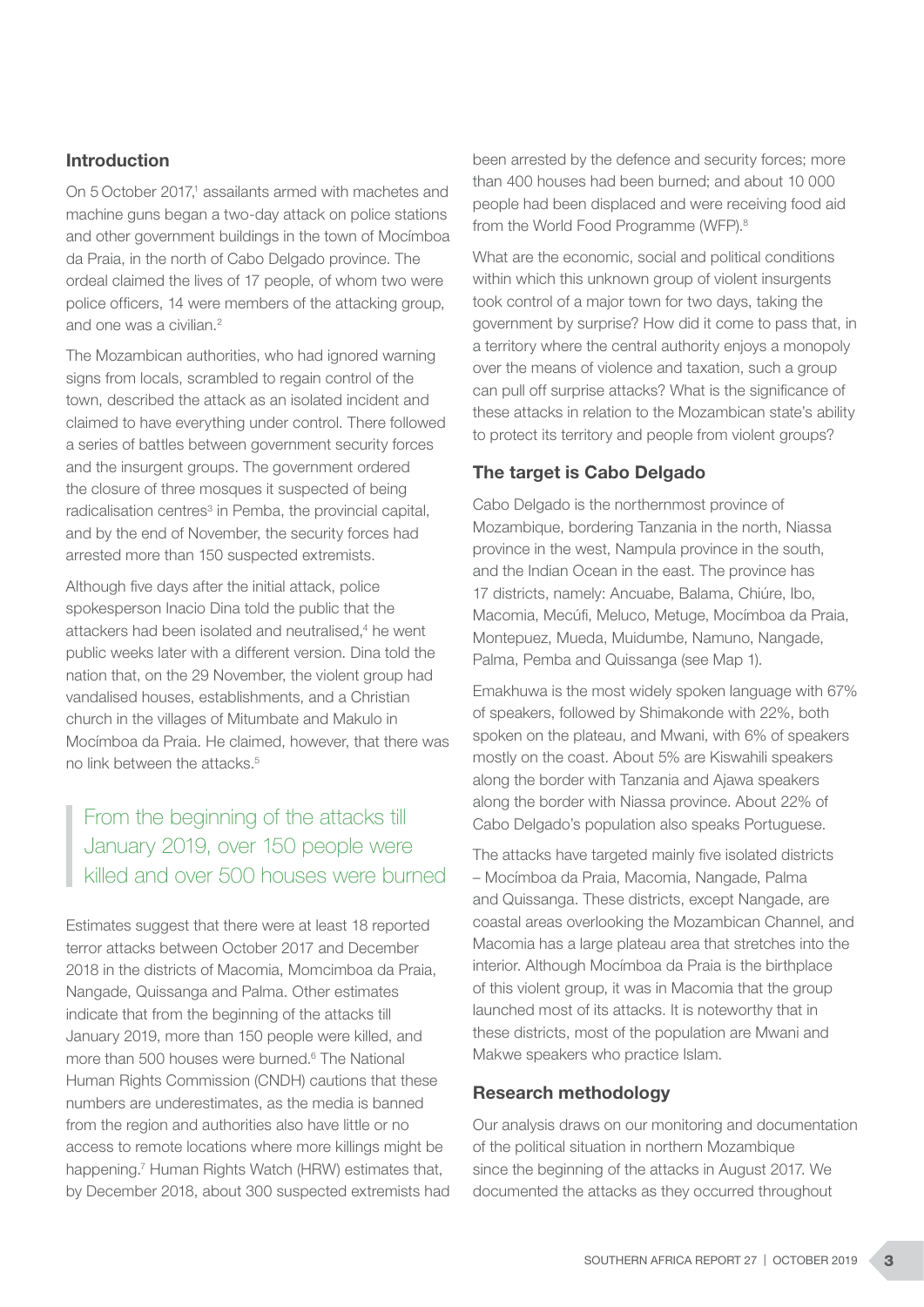#### Introduction

On 5 October 2017,<sup>1</sup> assailants armed with machetes and machine guns began a two-day attack on police stations and other government buildings in the town of Mocímboa da Praia, in the north of Cabo Delgado province. The ordeal claimed the lives of 17 people, of whom two were police officers, 14 were members of the attacking group, and one was a civilian.<sup>2</sup>

The Mozambican authorities, who had ignored warning signs from locals, scrambled to regain control of the town, described the attack as an isolated incident and claimed to have everything under control. There followed a series of battles between government security forces and the insurgent groups. The government ordered the closure of three mosques it suspected of being radicalisation centres<sup>3</sup> in Pemba, the provincial capital, and by the end of November, the security forces had arrested more than 150 suspected extremists.

Although five days after the initial attack, police spokesperson Inacio Dina told the public that the attackers had been isolated and neutralised,<sup>4</sup> he went public weeks later with a different version. Dina told the nation that, on the 29 November, the violent group had vandalised houses, establishments, and a Christian church in the villages of Mitumbate and Makulo in Mocímboa da Praia. He claimed, however, that there was no link between the attacks  $5$ 

# From the beginning of the attacks till January 2019, over 150 people were killed and over 500 houses were burned

Estimates suggest that there were at least 18 reported terror attacks between October 2017 and December 2018 in the districts of Macomia, Momcimboa da Praia, Nangade, Quissanga and Palma. Other estimates indicate that from the beginning of the attacks till January 2019, more than 150 people were killed, and more than 500 houses were burned.<sup>6</sup> The National Human Rights Commission (CNDH) cautions that these numbers are underestimates, as the media is banned from the region and authorities also have little or no access to remote locations where more killings might be happening.<sup>7</sup> Human Rights Watch (HRW) estimates that, by December 2018, about 300 suspected extremists had been arrested by the defence and security forces; more than 400 houses had been burned; and about 10 000 people had been displaced and were receiving food aid from the World Food Programme (WFP).8

What are the economic, social and political conditions within which this unknown group of violent insurgents took control of a major town for two days, taking the government by surprise? How did it come to pass that, in a territory where the central authority enjoys a monopoly over the means of violence and taxation, such a group can pull off surprise attacks? What is the significance of these attacks in relation to the Mozambican state's ability to protect its territory and people from violent groups?

### The target is Cabo Delgado

Cabo Delgado is the northernmost province of Mozambique, bordering Tanzania in the north, Niassa province in the west, Nampula province in the south, and the Indian Ocean in the east. The province has 17 districts, namely: Ancuabe, Balama, Chiúre, Ibo, Macomia, Mecúfi, Meluco, Metuge, Mocímboa da Praia, Montepuez, Mueda, Muidumbe, Namuno, Nangade, Palma, Pemba and Quissanga (see Map 1).

Emakhuwa is the most widely spoken language with 67% of speakers, followed by Shimakonde with 22%, both spoken on the plateau, and Mwani, with 6% of speakers mostly on the coast. About 5% are Kiswahili speakers along the border with Tanzania and Ajawa speakers along the border with Niassa province. About 22% of Cabo Delgado's population also speaks Portuguese.

The attacks have targeted mainly five isolated districts – Mocímboa da Praia, Macomia, Nangade, Palma and Quissanga. These districts, except Nangade, are coastal areas overlooking the Mozambican Channel, and Macomia has a large plateau area that stretches into the interior. Although Mocímboa da Praia is the birthplace of this violent group, it was in Macomia that the group launched most of its attacks. It is noteworthy that in these districts, most of the population are Mwani and Makwe speakers who practice Islam.

#### Research methodology

Our analysis draws on our monitoring and documentation of the political situation in northern Mozambique since the beginning of the attacks in August 2017. We documented the attacks as they occurred throughout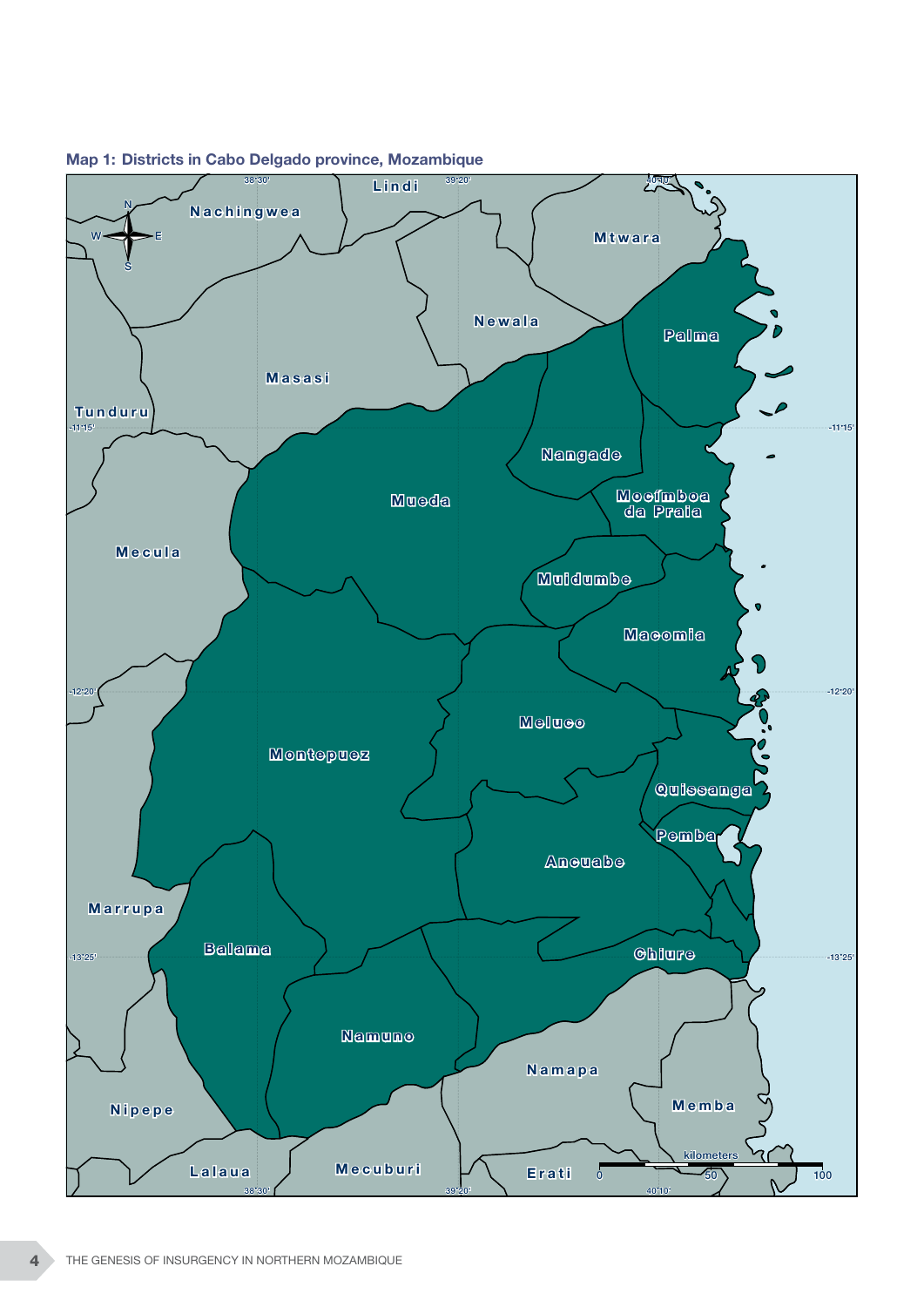

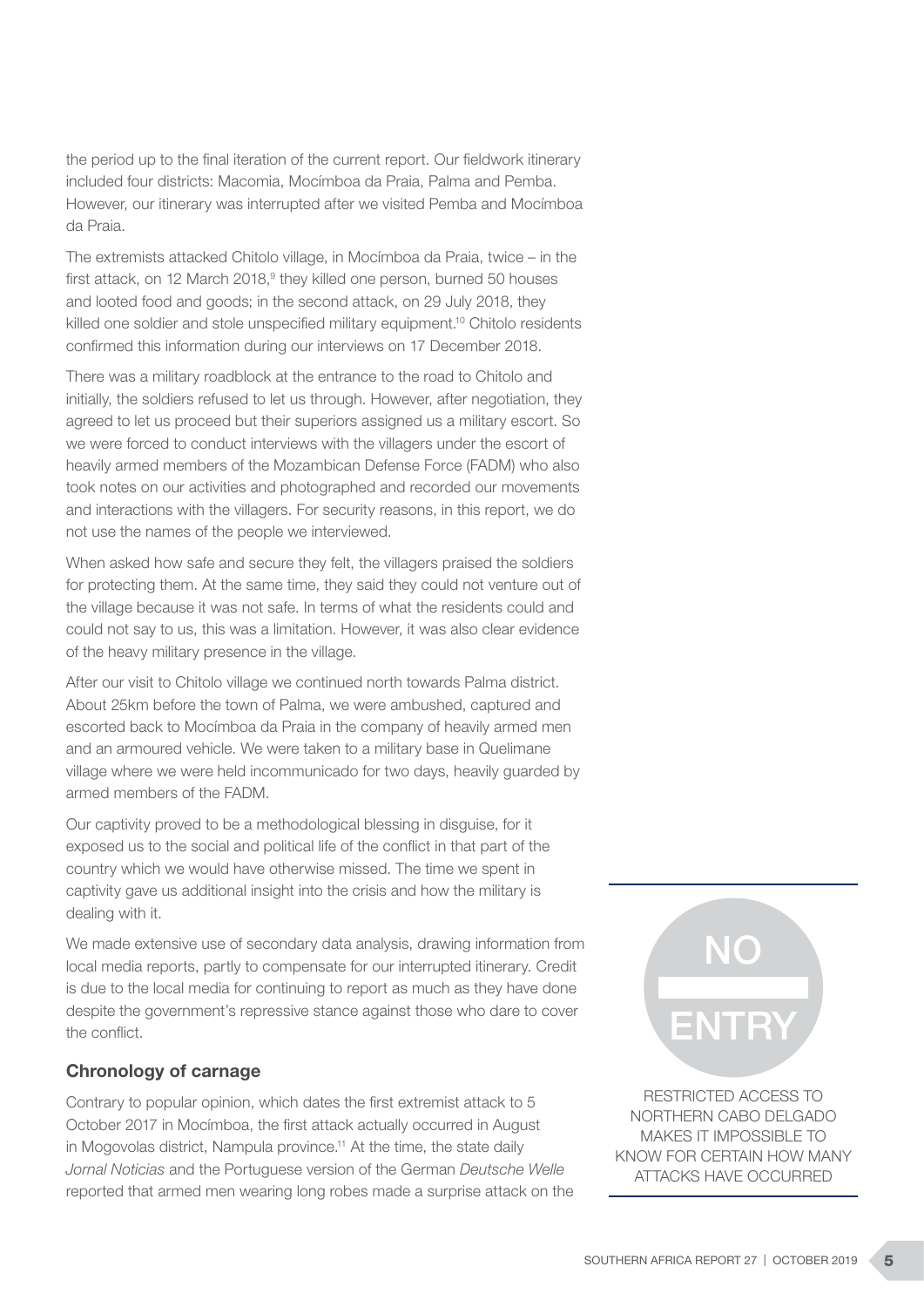the period up to the final iteration of the current report. Our fieldwork itinerary included four districts: Macomia, Mocímboa da Praia, Palma and Pemba. However, our itinerary was interrupted after we visited Pemba and Mocímboa da Praia.

The extremists attacked Chitolo village, in Mocímboa da Praia, twice – in the first attack, on 12 March 2018,<sup>9</sup> they killed one person, burned 50 houses and looted food and goods; in the second attack, on 29 July 2018, they killed one soldier and stole unspecified military equipment.<sup>10</sup> Chitolo residents confirmed this information during our interviews on 17 December 2018.

There was a military roadblock at the entrance to the road to Chitolo and initially, the soldiers refused to let us through. However, after negotiation, they agreed to let us proceed but their superiors assigned us a military escort. So we were forced to conduct interviews with the villagers under the escort of heavily armed members of the Mozambican Defense Force (FADM) who also took notes on our activities and photographed and recorded our movements and interactions with the villagers. For security reasons, in this report, we do not use the names of the people we interviewed.

When asked how safe and secure they felt, the villagers praised the soldiers for protecting them. At the same time, they said they could not venture out of the village because it was not safe. In terms of what the residents could and could not say to us, this was a limitation. However, it was also clear evidence of the heavy military presence in the village.

After our visit to Chitolo village we continued north towards Palma district. About 25km before the town of Palma, we were ambushed, captured and escorted back to Mocímboa da Praia in the company of heavily armed men and an armoured vehicle. We were taken to a military base in Quelimane village where we were held incommunicado for two days, heavily guarded by armed members of the FADM.

Our captivity proved to be a methodological blessing in disguise, for it exposed us to the social and political life of the conflict in that part of the country which we would have otherwise missed. The time we spent in captivity gave us additional insight into the crisis and how the military is dealing with it.

We made extensive use of secondary data analysis, drawing information from local media reports, partly to compensate for our interrupted itinerary. Credit is due to the local media for continuing to report as much as they have done despite the government's repressive stance against those who dare to cover the conflict.

#### Chronology of carnage

Contrary to popular opinion, which dates the first extremist attack to 5 October 2017 in Mocímboa, the first attack actually occurred in August in Mogovolas district, Nampula province.11 At the time, the state daily *Jornal Noticias* and the Portuguese version of the German *Deutsche Welle* reported that armed men wearing long robes made a surprise attack on the



RESTRICTED ACCESS TO NORTHERN CABO DELGADO MAKES IT IMPOSSIBLE TO KNOW FOR CERTAIN HOW MANY ATTACKS HAVE OCCURRED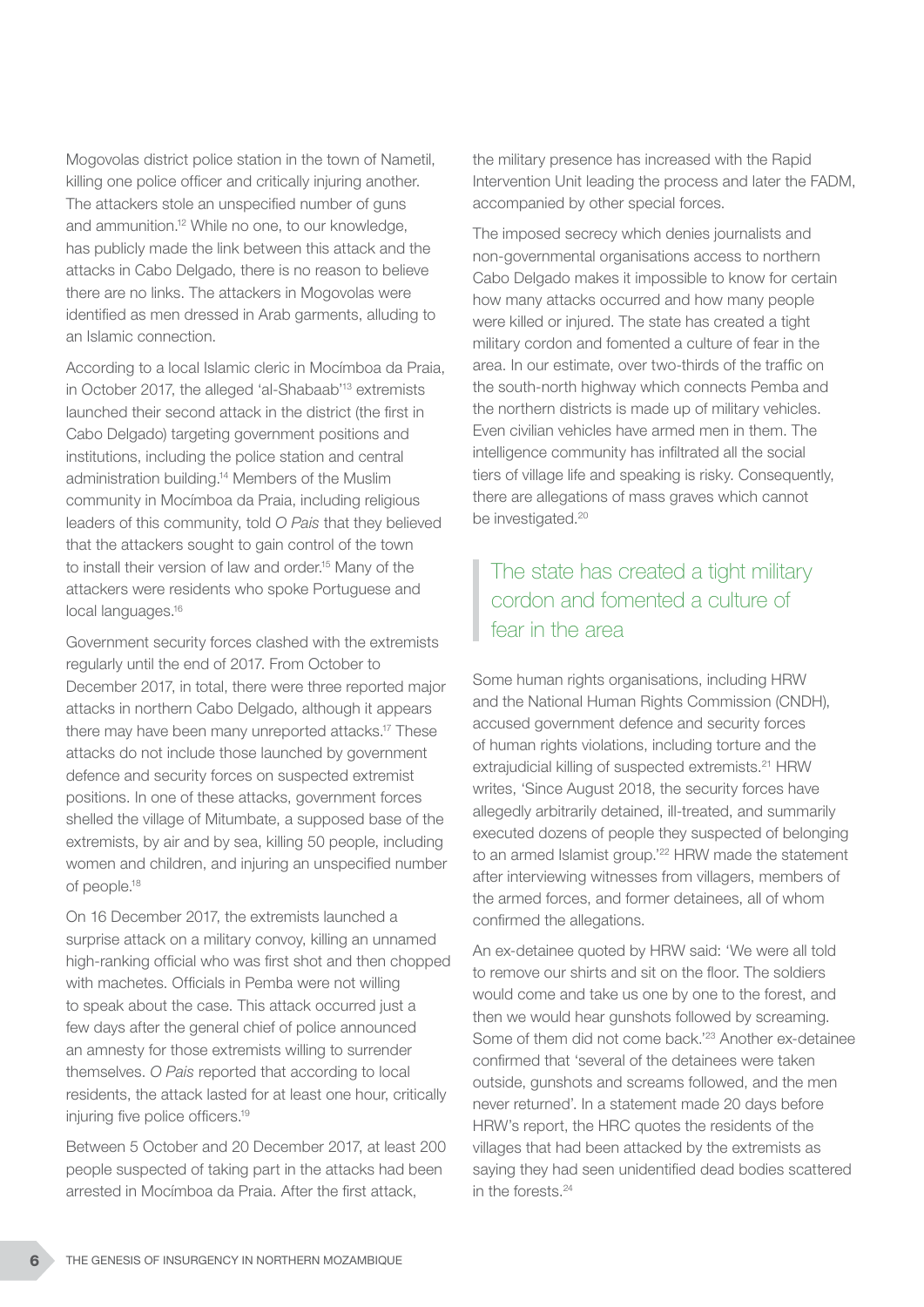Mogovolas district police station in the town of Nametil, killing one police officer and critically injuring another. The attackers stole an unspecified number of guns and ammunition.12 While no one, to our knowledge, has publicly made the link between this attack and the attacks in Cabo Delgado, there is no reason to believe there are no links. The attackers in Mogovolas were identified as men dressed in Arab garments, alluding to an Islamic connection.

According to a local Islamic cleric in Mocímboa da Praia, in October 2017, the alleged 'al-Shabaab'13 extremists launched their second attack in the district (the first in Cabo Delgado) targeting government positions and institutions, including the police station and central administration building.14 Members of the Muslim community in Mocímboa da Praia, including religious leaders of this community, told *O Pais* that they believed that the attackers sought to gain control of the town to install their version of law and order.<sup>15</sup> Many of the attackers were residents who spoke Portuguese and local languages.<sup>16</sup>

Government security forces clashed with the extremists regularly until the end of 2017. From October to December 2017, in total, there were three reported major attacks in northern Cabo Delgado, although it appears there may have been many unreported attacks.17 These attacks do not include those launched by government defence and security forces on suspected extremist positions. In one of these attacks, government forces shelled the village of Mitumbate, a supposed base of the extremists, by air and by sea, killing 50 people, including women and children, and injuring an unspecified number of people.18

On 16 December 2017, the extremists launched a surprise attack on a military convoy, killing an unnamed high-ranking official who was first shot and then chopped with machetes. Officials in Pemba were not willing to speak about the case. This attack occurred just a few days after the general chief of police announced an amnesty for those extremists willing to surrender themselves. *O Pais* reported that according to local residents, the attack lasted for at least one hour, critically injuring five police officers.19

Between 5 October and 20 December 2017, at least 200 people suspected of taking part in the attacks had been arrested in Mocímboa da Praia. After the first attack,

the military presence has increased with the Rapid Intervention Unit leading the process and later the FADM, accompanied by other special forces.

The imposed secrecy which denies journalists and non-governmental organisations access to northern Cabo Delgado makes it impossible to know for certain how many attacks occurred and how many people were killed or injured. The state has created a tight military cordon and fomented a culture of fear in the area. In our estimate, over two-thirds of the traffic on the south-north highway which connects Pemba and the northern districts is made up of military vehicles. Even civilian vehicles have armed men in them. The intelligence community has infiltrated all the social tiers of village life and speaking is risky. Consequently, there are allegations of mass graves which cannot be investigated.<sup>20</sup>

# The state has created a tight military cordon and fomented a culture of fear in the area

Some human rights organisations, including HRW and the National Human Rights Commission (CNDH), accused government defence and security forces of human rights violations, including torture and the extrajudicial killing of suspected extremists.<sup>21</sup> HRW writes, 'Since August 2018, the security forces have allegedly arbitrarily detained, ill-treated, and summarily executed dozens of people they suspected of belonging to an armed Islamist group.<sup>'22</sup> HRW made the statement after interviewing witnesses from villagers, members of the armed forces, and former detainees, all of whom confirmed the allegations.

An ex-detainee quoted by HRW said: 'We were all told to remove our shirts and sit on the floor. The soldiers would come and take us one by one to the forest, and then we would hear gunshots followed by screaming. Some of them did not come back.'23 Another ex-detainee confirmed that 'several of the detainees were taken outside, gunshots and screams followed, and the men never returned'. In a statement made 20 days before HRW's report, the HRC quotes the residents of the villages that had been attacked by the extremists as saying they had seen unidentified dead bodies scattered in the forests.<sup>24</sup>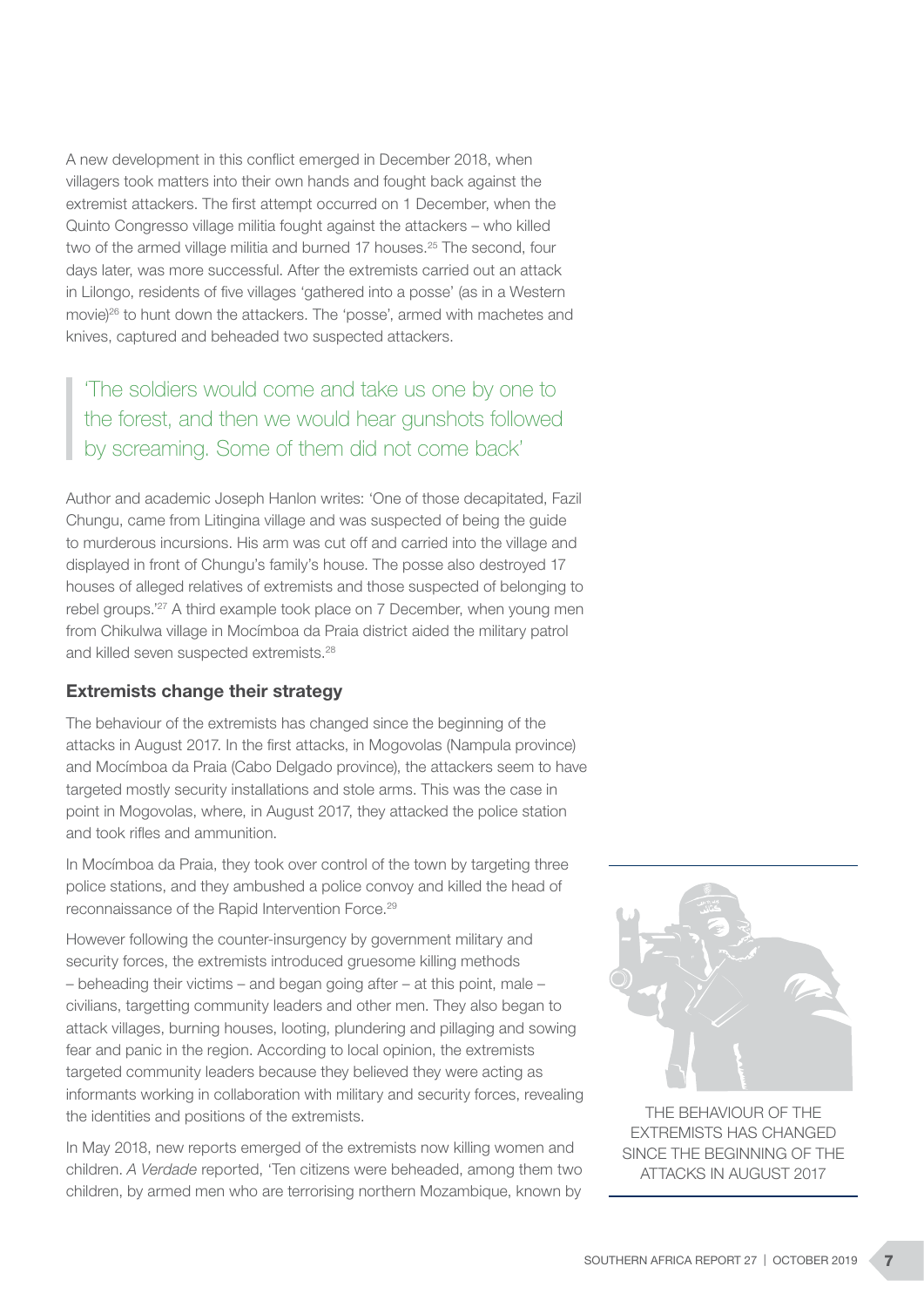A new development in this conflict emerged in December 2018, when villagers took matters into their own hands and fought back against the extremist attackers. The first attempt occurred on 1 December, when the Quinto Congresso village militia fought against the attackers – who killed two of the armed village militia and burned 17 houses.<sup>25</sup> The second, four days later, was more successful. After the extremists carried out an attack in Lilongo, residents of five villages 'gathered into a posse' (as in a Western movie)26 to hunt down the attackers. The 'posse', armed with machetes and knives, captured and beheaded two suspected attackers.

'The soldiers would come and take us one by one to the forest, and then we would hear gunshots followed by screaming. Some of them did not come back'

Author and academic Joseph Hanlon writes: 'One of those decapitated, Fazil Chungu, came from Litingina village and was suspected of being the guide to murderous incursions. His arm was cut off and carried into the village and displayed in front of Chungu's family's house. The posse also destroyed 17 houses of alleged relatives of extremists and those suspected of belonging to rebel groups.'27 A third example took place on 7 December, when young men from Chikulwa village in Mocímboa da Praia district aided the military patrol and killed seven suspected extremists.<sup>28</sup>

#### Extremists change their strategy

The behaviour of the extremists has changed since the beginning of the attacks in August 2017. In the first attacks, in Mogovolas (Nampula province) and Mocímboa da Praia (Cabo Delgado province), the attackers seem to have targeted mostly security installations and stole arms. This was the case in point in Mogovolas, where, in August 2017, they attacked the police station and took rifles and ammunition.

In Mocímboa da Praia, they took over control of the town by targeting three police stations, and they ambushed a police convoy and killed the head of reconnaissance of the Rapid Intervention Force.29

However following the counter-insurgency by government military and security forces, the extremists introduced gruesome killing methods – beheading their victims – and began going after – at this point, male – civilians, targetting community leaders and other men. They also began to attack villages, burning houses, looting, plundering and pillaging and sowing fear and panic in the region. According to local opinion, the extremists targeted community leaders because they believed they were acting as informants working in collaboration with military and security forces, revealing the identities and positions of the extremists.

In May 2018, new reports emerged of the extremists now killing women and children. *A Verdade* reported, 'Ten citizens were beheaded, among them two children, by armed men who are terrorising northern Mozambique, known by



THE BEHAVIOUR OF THE EXTREMISTS HAS CHANGED SINCE THE BEGINNING OF THE ATTACKS IN AUGUST 2017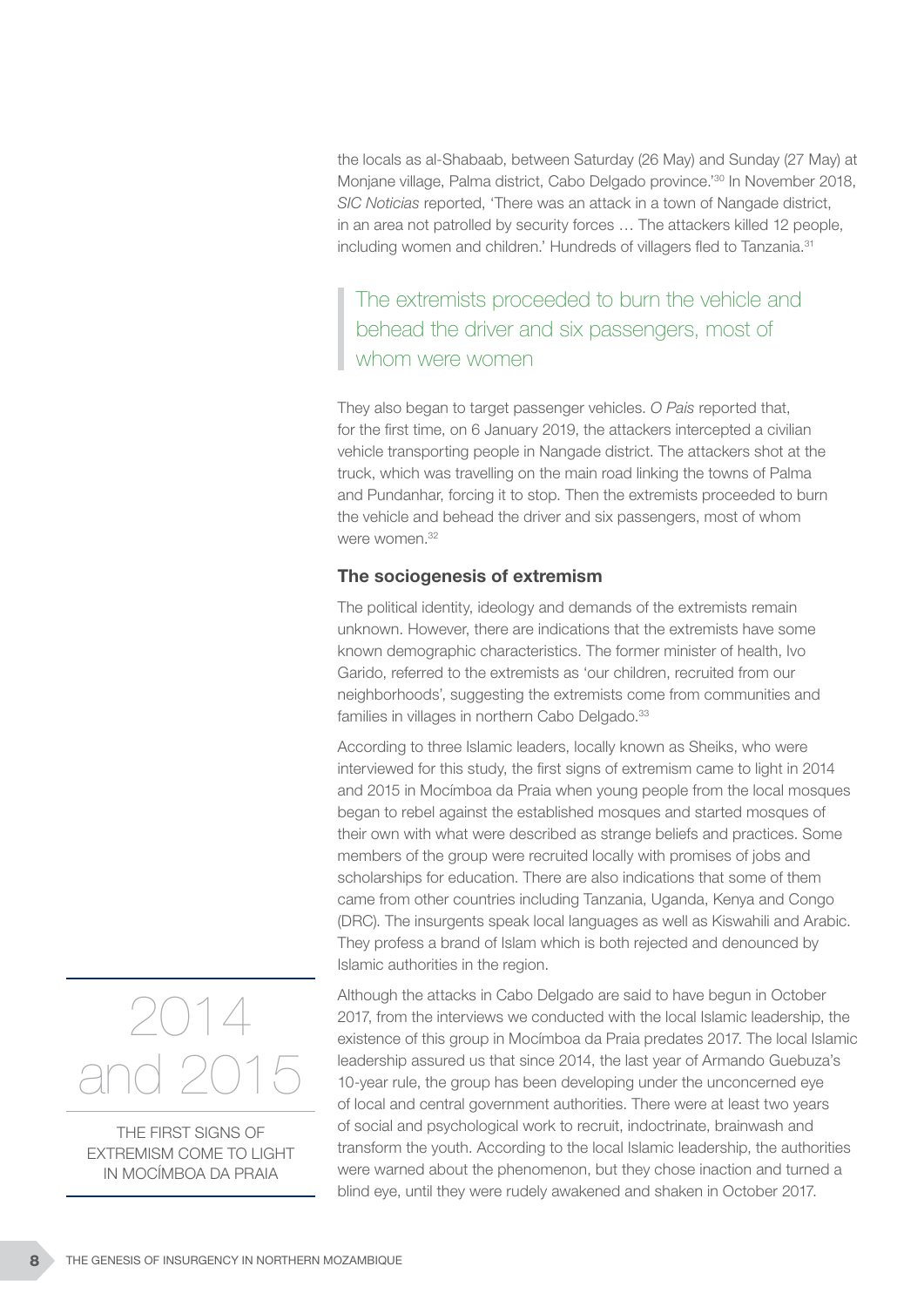the locals as al-Shabaab, between Saturday (26 May) and Sunday (27 May) at Monjane village, Palma district, Cabo Delgado province.<sup>'30</sup> In November 2018, *SIC Noticias* reported, 'There was an attack in a town of Nangade district, in an area not patrolled by security forces … The attackers killed 12 people, including women and children.' Hundreds of villagers fled to Tanzania.31

The extremists proceeded to burn the vehicle and behead the driver and six passengers, most of whom were women

They also began to target passenger vehicles. *O Pais* reported that, for the first time, on 6 January 2019, the attackers intercepted a civilian vehicle transporting people in Nangade district. The attackers shot at the truck, which was travelling on the main road linking the towns of Palma and Pundanhar, forcing it to stop. Then the extremists proceeded to burn the vehicle and behead the driver and six passengers, most of whom were women<sup>32</sup>

#### The sociogenesis of extremism

The political identity, ideology and demands of the extremists remain unknown. However, there are indications that the extremists have some known demographic characteristics. The former minister of health, Ivo Garido, referred to the extremists as 'our children, recruited from our neighborhoods', suggesting the extremists come from communities and families in villages in northern Cabo Delgado.<sup>33</sup>

According to three Islamic leaders, locally known as Sheiks, who were interviewed for this study, the first signs of extremism came to light in 2014 and 2015 in Mocímboa da Praia when young people from the local mosques began to rebel against the established mosques and started mosques of their own with what were described as strange beliefs and practices. Some members of the group were recruited locally with promises of jobs and scholarships for education. There are also indications that some of them came from other countries including Tanzania, Uganda, Kenya and Congo (DRC). The insurgents speak local languages as well as Kiswahili and Arabic. They profess a brand of Islam which is both rejected and denounced by Islamic authorities in the region.

Although the attacks in Cabo Delgado are said to have begun in October 2017, from the interviews we conducted with the local Islamic leadership, the existence of this group in Mocímboa da Praia predates 2017. The local Islamic leadership assured us that since 2014, the last year of Armando Guebuza's 10-year rule, the group has been developing under the unconcerned eye of local and central government authorities. There were at least two years of social and psychological work to recruit, indoctrinate, brainwash and transform the youth. According to the local Islamic leadership, the authorities were warned about the phenomenon, but they chose inaction and turned a blind eye, until they were rudely awakened and shaken in October 2017.



THE FIRST SIGNS OF EXTREMISM COME TO LIGHT IN MOCÍMBOA DA PRAIA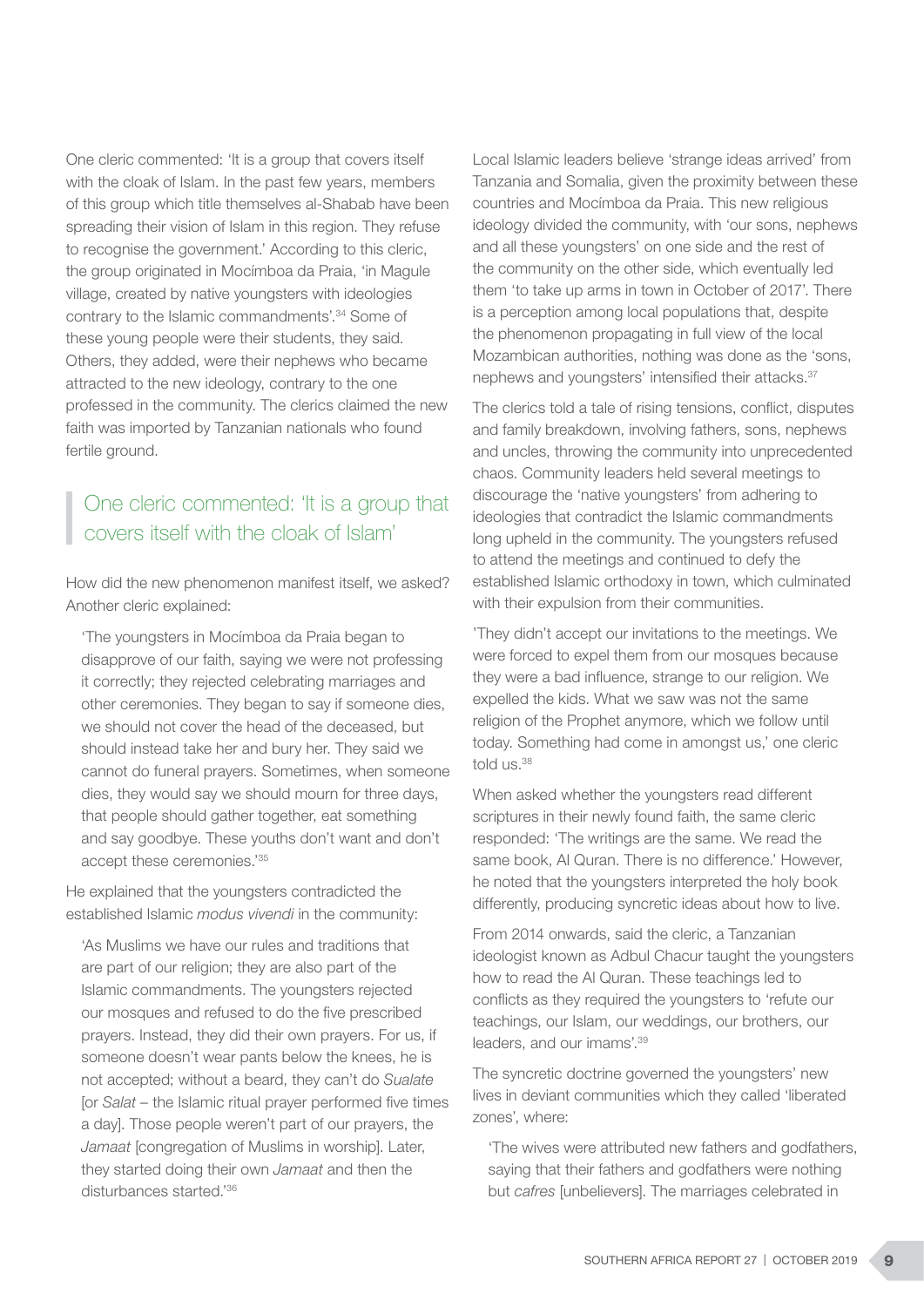One cleric commented: 'It is a group that covers itself with the cloak of Islam. In the past few years, members of this group which title themselves al-Shabab have been spreading their vision of Islam in this region. They refuse to recognise the government.' According to this cleric, the group originated in Mocímboa da Praia, 'in Magule village, created by native youngsters with ideologies contrary to the Islamic commandments'.34 Some of these young people were their students, they said. Others, they added, were their nephews who became attracted to the new ideology, contrary to the one professed in the community. The clerics claimed the new faith was imported by Tanzanian nationals who found fertile ground.

# One cleric commented: 'It is a group that covers itself with the cloak of Islam'

How did the new phenomenon manifest itself, we asked? Another cleric explained:

'The youngsters in Mocímboa da Praia began to disapprove of our faith, saying we were not professing it correctly; they rejected celebrating marriages and other ceremonies. They began to say if someone dies, we should not cover the head of the deceased, but should instead take her and bury her. They said we cannot do funeral prayers. Sometimes, when someone dies, they would say we should mourn for three days, that people should gather together, eat something and say goodbye. These youths don't want and don't accept these ceremonies.'35

He explained that the youngsters contradicted the established Islamic *modus vivendi* in the community:

'As Muslims we have our rules and traditions that are part of our religion; they are also part of the Islamic commandments. The youngsters rejected our mosques and refused to do the five prescribed prayers. Instead, they did their own prayers. For us, if someone doesn't wear pants below the knees, he is not accepted; without a beard, they can't do *Sualate*  [or *Salat –* the Islamic ritual prayer performed five times a day]. Those people weren't part of our prayers, the *Jamaat* [congregation of Muslims in worship]. Later, they started doing their own *Jamaat* and then the disturbances started.'36

Local Islamic leaders believe 'strange ideas arrived' from Tanzania and Somalia, given the proximity between these countries and Mocímboa da Praia. This new religious ideology divided the community, with 'our sons, nephews and all these youngsters' on one side and the rest of the community on the other side, which eventually led them 'to take up arms in town in October of 2017'. There is a perception among local populations that, despite the phenomenon propagating in full view of the local Mozambican authorities, nothing was done as the 'sons, nephews and youngsters' intensified their attacks.37

The clerics told a tale of rising tensions, conflict, disputes and family breakdown, involving fathers, sons, nephews and uncles, throwing the community into unprecedented chaos. Community leaders held several meetings to discourage the 'native youngsters' from adhering to ideologies that contradict the Islamic commandments long upheld in the community. The youngsters refused to attend the meetings and continued to defy the established Islamic orthodoxy in town, which culminated with their expulsion from their communities.

'They didn't accept our invitations to the meetings. We were forced to expel them from our mosques because they were a bad influence, strange to our religion. We expelled the kids. What we saw was not the same religion of the Prophet anymore, which we follow until today. Something had come in amongst us,' one cleric told us.<sup>38</sup>

When asked whether the youngsters read different scriptures in their newly found faith, the same cleric responded: 'The writings are the same. We read the same book, Al Quran. There is no difference.' However, he noted that the youngsters interpreted the holy book differently, producing syncretic ideas about how to live.

From 2014 onwards, said the cleric, a Tanzanian ideologist known as Adbul Chacur taught the youngsters how to read the Al Quran. These teachings led to conflicts as they required the youngsters to 'refute our teachings, our Islam, our weddings, our brothers, our leaders, and our imams'.39

The syncretic doctrine governed the youngsters' new lives in deviant communities which they called 'liberated zones', where:

'The wives were attributed new fathers and godfathers, saying that their fathers and godfathers were nothing but *cafres* [unbelievers]. The marriages celebrated in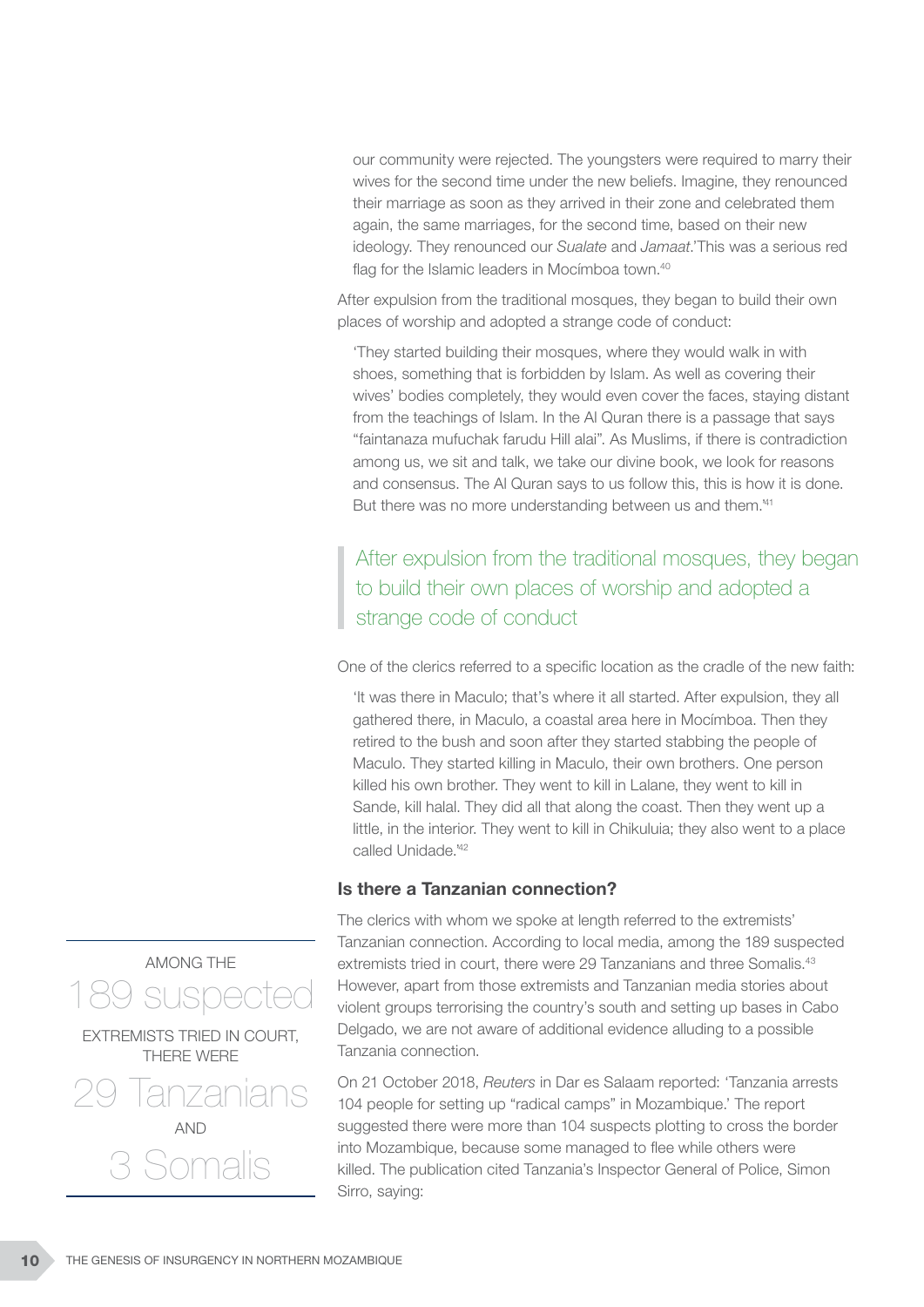our community were rejected. The youngsters were required to marry their wives for the second time under the new beliefs. Imagine, they renounced their marriage as soon as they arrived in their zone and celebrated them again, the same marriages, for the second time, based on their new ideology. They renounced our *Sualate* and *Jamaat*.'This was a serious red flag for the Islamic leaders in Mocímboa town.<sup>40</sup>

After expulsion from the traditional mosques, they began to build their own places of worship and adopted a strange code of conduct:

'They started building their mosques, where they would walk in with shoes, something that is forbidden by Islam. As well as covering their wives' bodies completely, they would even cover the faces, staying distant from the teachings of Islam. In the Al Quran there is a passage that says "faintanaza mufuchak farudu Hill alai". As Muslims, if there is contradiction among us, we sit and talk, we take our divine book, we look for reasons and consensus. The Al Quran says to us follow this, this is how it is done. But there was no more understanding between us and them.<sup>41</sup>

### After expulsion from the traditional mosques, they began to build their own places of worship and adopted a strange code of conduct

One of the clerics referred to a specific location as the cradle of the new faith:

'It was there in Maculo; that's where it all started. After expulsion, they all gathered there, in Maculo, a coastal area here in Mocímboa. Then they retired to the bush and soon after they started stabbing the people of Maculo. They started killing in Maculo, their own brothers. One person killed his own brother. They went to kill in Lalane, they went to kill in Sande, kill halal. They did all that along the coast. Then they went up a little, in the interior. They went to kill in Chikuluia; they also went to a place called Unidade.'42

#### Is there a Tanzanian connection?

The clerics with whom we spoke at length referred to the extremists' Tanzanian connection. According to local media, among the 189 suspected extremists tried in court, there were 29 Tanzanians and three Somalis.<sup>43</sup> However, apart from those extremists and Tanzanian media stories about violent groups terrorising the country's south and setting up bases in Cabo Delgado, we are not aware of additional evidence alluding to a possible Tanzania connection.

On 21 October 2018, *Reuters* in Dar es Salaam reported: 'Tanzania arrests 104 people for setting up "radical camps" in Mozambique.' The report suggested there were more than 104 suspects plotting to cross the border into Mozambique, because some managed to flee while others were killed. The publication cited Tanzania's Inspector General of Police, Simon Sirro, saying:



3 Somalis

AND

10 THE GENESIS OF INSURGENCY IN NORTHERN MOZAMBIQUE

lanzanians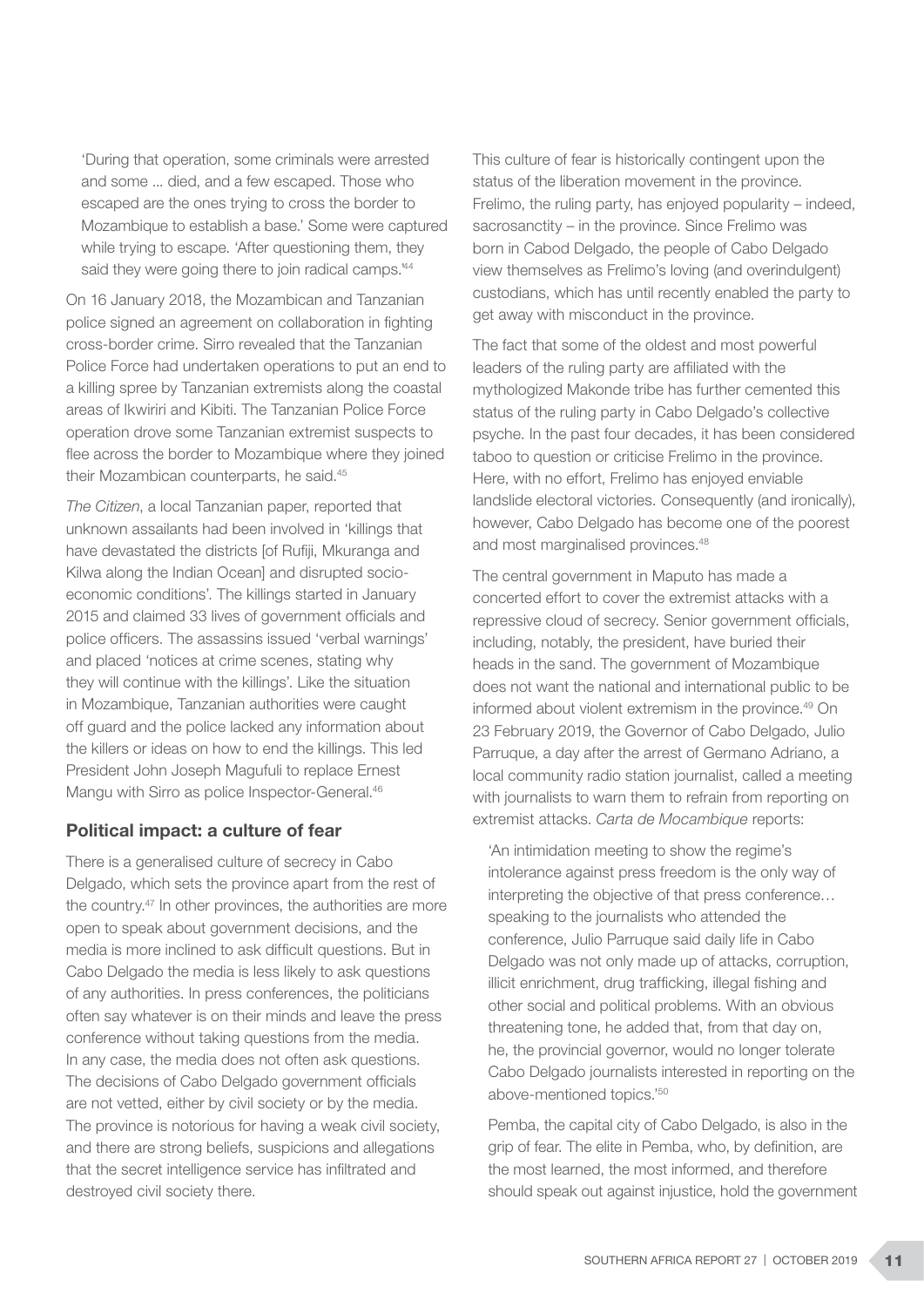'During that operation, some criminals were arrested and some ... died, and a few escaped. Those who escaped are the ones trying to cross the border to Mozambique to establish a base.' Some were captured while trying to escape. 'After questioning them, they said they were going there to join radical camps.<sup>44</sup>

On 16 January 2018, the Mozambican and Tanzanian police signed an agreement on collaboration in fighting cross-border crime. Sirro revealed that the Tanzanian Police Force had undertaken operations to put an end to a killing spree by Tanzanian extremists along the coastal areas of Ikwiriri and Kibiti. The Tanzanian Police Force operation drove some Tanzanian extremist suspects to flee across the border to Mozambique where they joined their Mozambican counterparts, he said.45

*The Citizen*, a local Tanzanian paper, reported that unknown assailants had been involved in 'killings that have devastated the districts [of Rufiji, Mkuranga and Kilwa along the Indian Ocean] and disrupted socioeconomic conditions'. The killings started in January 2015 and claimed 33 lives of government officials and police officers. The assassins issued 'verbal warnings' and placed 'notices at crime scenes, stating why they will continue with the killings'. Like the situation in Mozambique, Tanzanian authorities were caught off guard and the police lacked any information about the killers or ideas on how to end the killings. This led President John Joseph Magufuli to replace Ernest Mangu with Sirro as police Inspector-General.<sup>46</sup>

#### Political impact: a culture of fear

There is a generalised culture of secrecy in Cabo Delgado, which sets the province apart from the rest of the country.47 In other provinces, the authorities are more open to speak about government decisions, and the media is more inclined to ask difficult questions. But in Cabo Delgado the media is less likely to ask questions of any authorities. In press conferences, the politicians often say whatever is on their minds and leave the press conference without taking questions from the media. In any case, the media does not often ask questions. The decisions of Cabo Delgado government officials are not vetted, either by civil society or by the media. The province is notorious for having a weak civil society, and there are strong beliefs, suspicions and allegations that the secret intelligence service has infiltrated and destroyed civil society there.

This culture of fear is historically contingent upon the status of the liberation movement in the province. Frelimo, the ruling party, has enjoyed popularity – indeed, sacrosanctity – in the province. Since Frelimo was born in Cabod Delgado, the people of Cabo Delgado view themselves as Frelimo's loving (and overindulgent) custodians, which has until recently enabled the party to get away with misconduct in the province.

The fact that some of the oldest and most powerful leaders of the ruling party are affiliated with the mythologized Makonde tribe has further cemented this status of the ruling party in Cabo Delgado's collective psyche. In the past four decades, it has been considered taboo to question or criticise Frelimo in the province. Here, with no effort, Frelimo has enjoyed enviable landslide electoral victories. Consequently (and ironically), however, Cabo Delgado has become one of the poorest and most marginalised provinces.48

The central government in Maputo has made a concerted effort to cover the extremist attacks with a repressive cloud of secrecy. Senior government officials, including, notably, the president, have buried their heads in the sand. The government of Mozambique does not want the national and international public to be informed about violent extremism in the province.49 On 23 February 2019, the Governor of Cabo Delgado, Julio Parruque, a day after the arrest of Germano Adriano, a local community radio station journalist, called a meeting with journalists to warn them to refrain from reporting on extremist attacks. *Carta de Mocambique* reports:

'An intimidation meeting to show the regime's intolerance against press freedom is the only way of interpreting the objective of that press conference… speaking to the journalists who attended the conference, Julio Parruque said daily life in Cabo Delgado was not only made up of attacks, corruption, illicit enrichment, drug trafficking, illegal fishing and other social and political problems. With an obvious threatening tone, he added that, from that day on, he, the provincial governor, would no longer tolerate Cabo Delgado journalists interested in reporting on the above-mentioned topics.'50

Pemba, the capital city of Cabo Delgado, is also in the grip of fear. The elite in Pemba, who, by definition, are the most learned, the most informed, and therefore should speak out against injustice, hold the government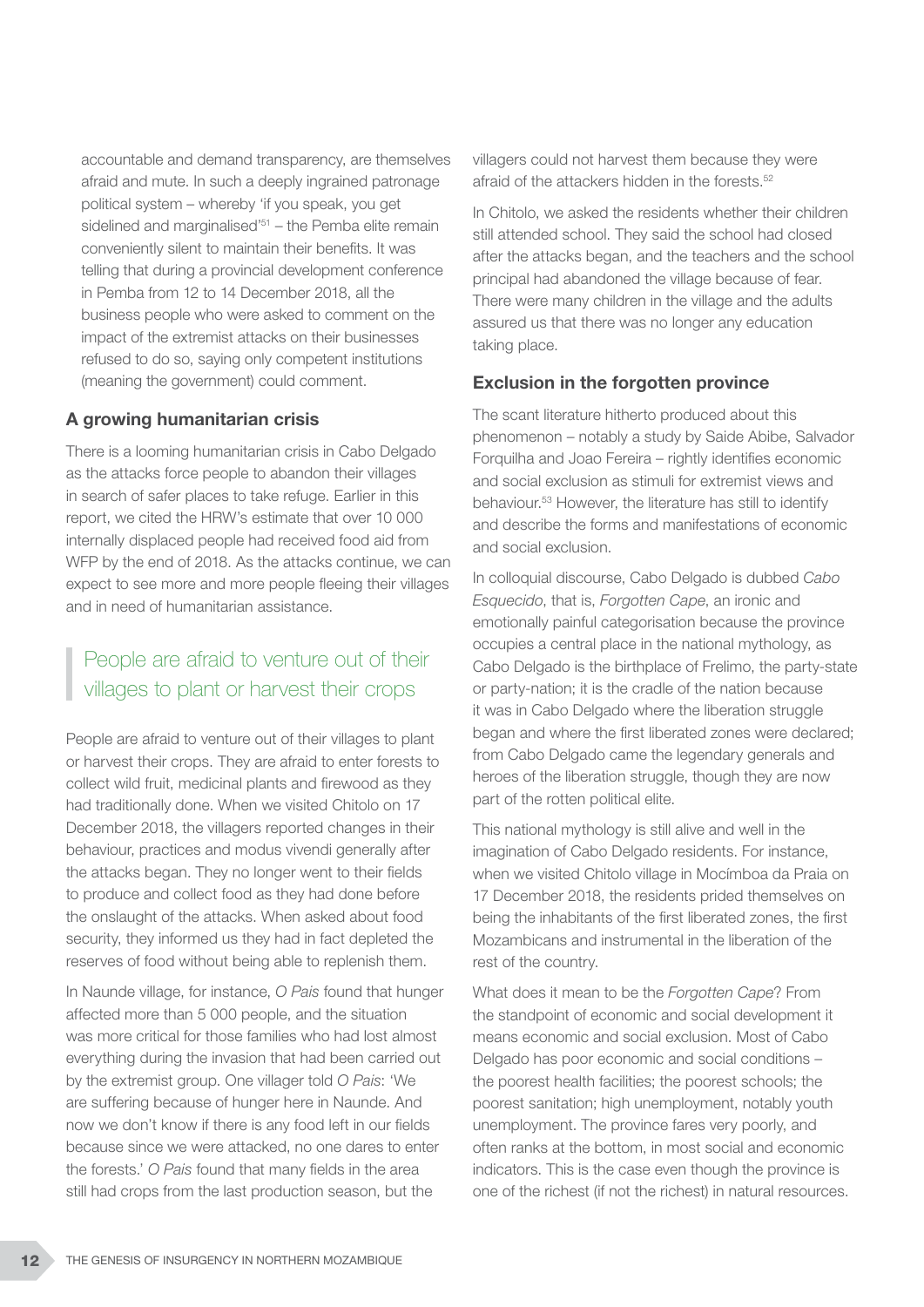accountable and demand transparency, are themselves afraid and mute. In such a deeply ingrained patronage political system – whereby 'if you speak, you get sidelined and marginalised<sup> $351$ </sup> – the Pemba elite remain conveniently silent to maintain their benefits. It was telling that during a provincial development conference in Pemba from 12 to 14 December 2018, all the business people who were asked to comment on the impact of the extremist attacks on their businesses refused to do so, saying only competent institutions (meaning the government) could comment.

#### A growing humanitarian crisis

There is a looming humanitarian crisis in Cabo Delgado as the attacks force people to abandon their villages in search of safer places to take refuge. Earlier in this report, we cited the HRW's estimate that over 10 000 internally displaced people had received food aid from WFP by the end of 2018. As the attacks continue, we can expect to see more and more people fleeing their villages and in need of humanitarian assistance.

# People are afraid to venture out of their villages to plant or harvest their crops

People are afraid to venture out of their villages to plant or harvest their crops. They are afraid to enter forests to collect wild fruit, medicinal plants and firewood as they had traditionally done. When we visited Chitolo on 17 December 2018, the villagers reported changes in their behaviour, practices and modus vivendi generally after the attacks began. They no longer went to their fields to produce and collect food as they had done before the onslaught of the attacks. When asked about food security, they informed us they had in fact depleted the reserves of food without being able to replenish them.

In Naunde village, for instance, *O Pais* found that hunger affected more than 5 000 people, and the situation was more critical for those families who had lost almost everything during the invasion that had been carried out by the extremist group. One villager told *O Pais*: 'We are suffering because of hunger here in Naunde. And now we don't know if there is any food left in our fields because since we were attacked, no one dares to enter the forests.' *O Pais* found that many fields in the area still had crops from the last production season, but the

villagers could not harvest them because they were afraid of the attackers hidden in the forests.52

In Chitolo, we asked the residents whether their children still attended school. They said the school had closed after the attacks began, and the teachers and the school principal had abandoned the village because of fear. There were many children in the village and the adults assured us that there was no longer any education taking place.

#### Exclusion in the forgotten province

The scant literature hitherto produced about this phenomenon – notably a study by Saide Abibe, Salvador Forquilha and Joao Fereira – rightly identifies economic and social exclusion as stimuli for extremist views and behaviour.53 However, the literature has still to identify and describe the forms and manifestations of economic and social exclusion.

In colloquial discourse, Cabo Delgado is dubbed *Cabo Esquecido*, that is, *Forgotten Cape*, an ironic and emotionally painful categorisation because the province occupies a central place in the national mythology, as Cabo Delgado is the birthplace of Frelimo, the party-state or party-nation; it is the cradle of the nation because it was in Cabo Delgado where the liberation struggle began and where the first liberated zones were declared; from Cabo Delgado came the legendary generals and heroes of the liberation struggle, though they are now part of the rotten political elite.

This national mythology is still alive and well in the imagination of Cabo Delgado residents. For instance, when we visited Chitolo village in Mocímboa da Praia on 17 December 2018, the residents prided themselves on being the inhabitants of the first liberated zones, the first Mozambicans and instrumental in the liberation of the rest of the country.

What does it mean to be the *Forgotten Cape*? From the standpoint of economic and social development it means economic and social exclusion. Most of Cabo Delgado has poor economic and social conditions – the poorest health facilities; the poorest schools; the poorest sanitation; high unemployment, notably youth unemployment. The province fares very poorly, and often ranks at the bottom, in most social and economic indicators. This is the case even though the province is one of the richest (if not the richest) in natural resources.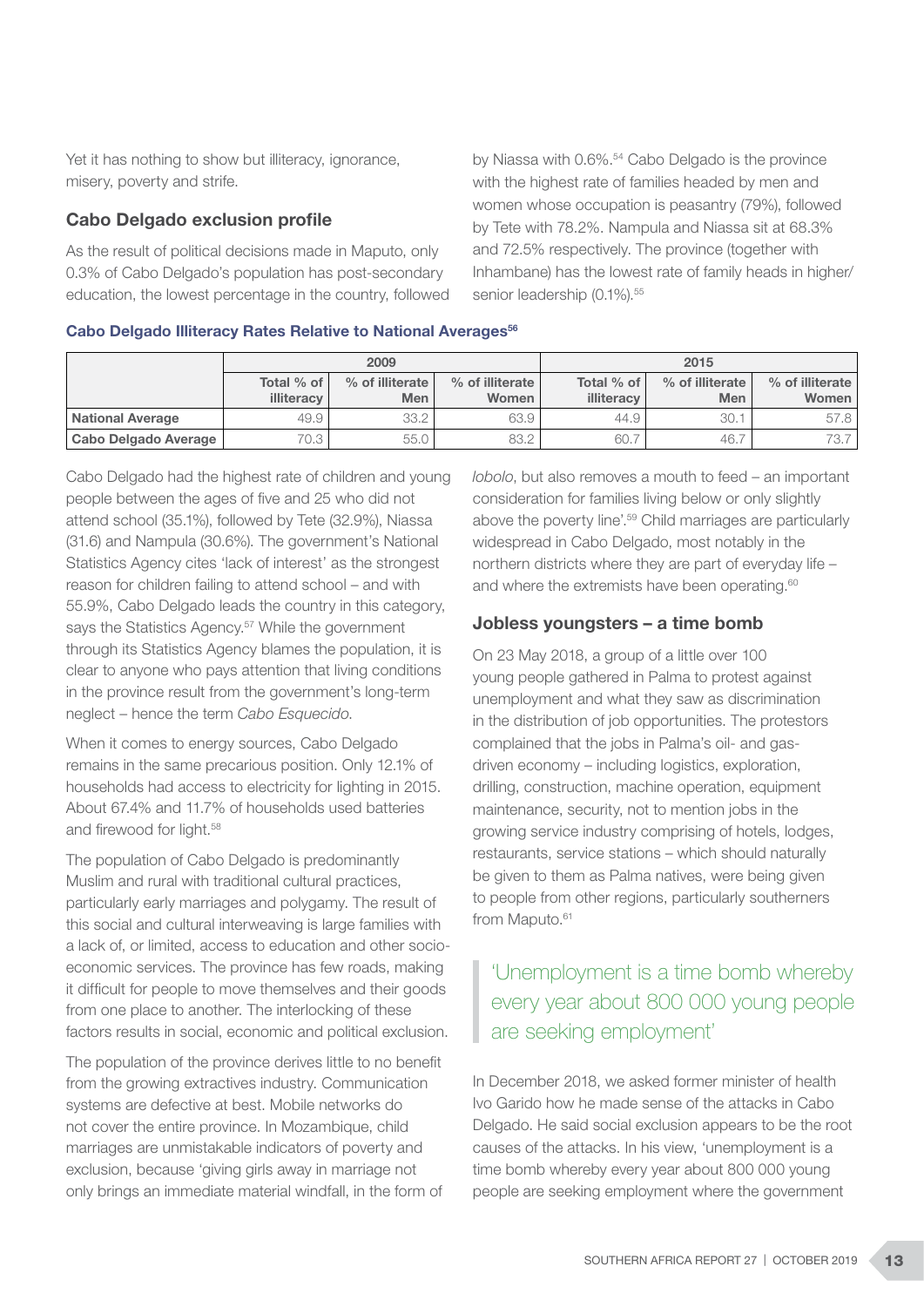Yet it has nothing to show but illiteracy, ignorance, misery, poverty and strife.

#### Cabo Delgado exclusion profile

As the result of political decisions made in Maputo, only 0.3% of Cabo Delgado's population has post-secondary education, the lowest percentage in the country, followed by Niassa with 0.6%.<sup>54</sup> Cabo Delgado is the province with the highest rate of families headed by men and women whose occupation is peasantry (79%), followed by Tete with 78.2%. Nampula and Niassa sit at 68.3% and 72.5% respectively. The province (together with Inhambane) has the lowest rate of family heads in higher/ senior leadership (0.1%).<sup>55</sup>

|  |  |  |  |  |  | Cabo Delgado Illiteracy Rates Relative to National Averages <sup>56</sup> |  |
|--|--|--|--|--|--|---------------------------------------------------------------------------|--|
|--|--|--|--|--|--|---------------------------------------------------------------------------|--|

|                         |                          | 2009                          |                          | 2015                     |                               |                          |  |
|-------------------------|--------------------------|-------------------------------|--------------------------|--------------------------|-------------------------------|--------------------------|--|
|                         | Total % of<br>illiteracy | % of illiterate<br><b>Men</b> | % of illiterate<br>Women | Total % of<br>illiteracy | % of illiterate<br><b>Men</b> | % of illiterate<br>Women |  |
| <b>National Average</b> | 49.9                     | 33.2                          | 63.9                     | 44.9                     | 30.1                          | 57.8                     |  |
| Cabo Delgado Average    | 70.3                     | 55.0                          | 83.2                     | 60.                      | 46.                           | 73.7                     |  |

Cabo Delgado had the highest rate of children and young people between the ages of five and 25 who did not attend school (35.1%), followed by Tete (32.9%), Niassa (31.6) and Nampula (30.6%). The government's National Statistics Agency cites 'lack of interest' as the strongest reason for children failing to attend school – and with 55.9%, Cabo Delgado leads the country in this category, says the Statistics Agency.<sup>57</sup> While the government through its Statistics Agency blames the population, it is clear to anyone who pays attention that living conditions in the province result from the government's long-term neglect – hence the term *Cabo Esquecido*.

When it comes to energy sources, Cabo Delgado remains in the same precarious position. Only 12.1% of households had access to electricity for lighting in 2015. About 67.4% and 11.7% of households used batteries and firewood for light.<sup>58</sup>

The population of Cabo Delgado is predominantly Muslim and rural with traditional cultural practices, particularly early marriages and polygamy. The result of this social and cultural interweaving is large families with a lack of, or limited, access to education and other socioeconomic services. The province has few roads, making it difficult for people to move themselves and their goods from one place to another. The interlocking of these factors results in social, economic and political exclusion.

The population of the province derives little to no benefit from the growing extractives industry. Communication systems are defective at best. Mobile networks do not cover the entire province. In Mozambique, child marriages are unmistakable indicators of poverty and exclusion, because 'giving girls away in marriage not only brings an immediate material windfall, in the form of *lobolo*, but also removes a mouth to feed – an important consideration for families living below or only slightly above the poverty line'.59 Child marriages are particularly widespread in Cabo Delgado, most notably in the northern districts where they are part of everyday life – and where the extremists have been operating.<sup>60</sup>

#### Jobless youngsters – a time bomb

On 23 May 2018, a group of a little over 100 young people gathered in Palma to protest against unemployment and what they saw as discrimination in the distribution of job opportunities. The protestors complained that the jobs in Palma's oil- and gasdriven economy – including logistics, exploration, drilling, construction, machine operation, equipment maintenance, security, not to mention jobs in the growing service industry comprising of hotels, lodges, restaurants, service stations – which should naturally be given to them as Palma natives, were being given to people from other regions, particularly southerners from Maputo.<sup>61</sup>

### 'Unemployment is a time bomb whereby every year about 800 000 young people are seeking employment'

In December 2018, we asked former minister of health Ivo Garido how he made sense of the attacks in Cabo Delgado. He said social exclusion appears to be the root causes of the attacks. In his view, 'unemployment is a time bomb whereby every year about 800 000 young people are seeking employment where the government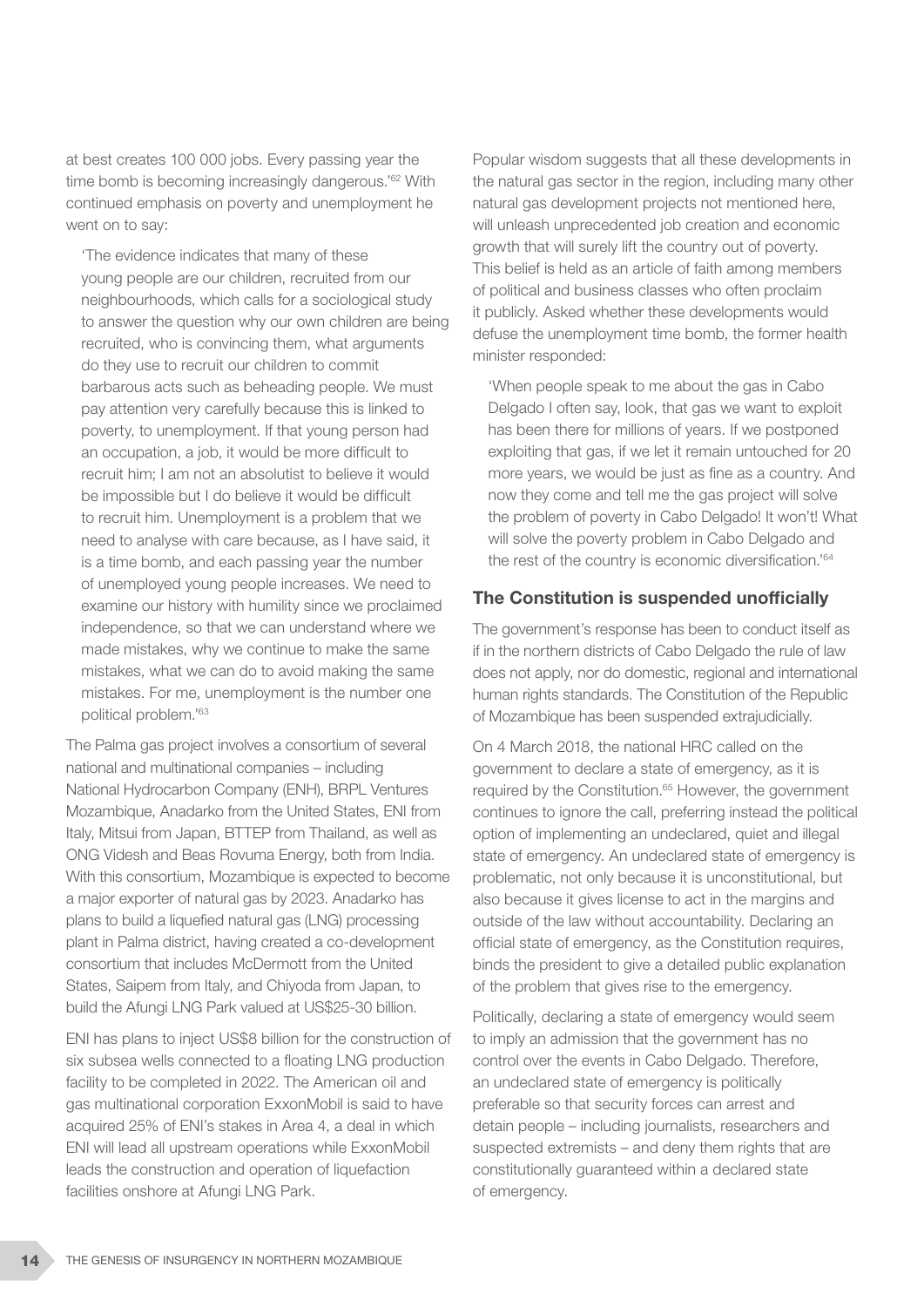at best creates 100 000 jobs. Every passing year the time bomb is becoming increasingly dangerous.'62 With continued emphasis on poverty and unemployment he went on to say:

'The evidence indicates that many of these young people are our children, recruited from our neighbourhoods, which calls for a sociological study to answer the question why our own children are being recruited, who is convincing them, what arguments do they use to recruit our children to commit barbarous acts such as beheading people. We must pay attention very carefully because this is linked to poverty, to unemployment. If that young person had an occupation, a job, it would be more difficult to recruit him; I am not an absolutist to believe it would be impossible but I do believe it would be difficult to recruit him. Unemployment is a problem that we need to analyse with care because, as I have said, it is a time bomb, and each passing year the number of unemployed young people increases. We need to examine our history with humility since we proclaimed independence, so that we can understand where we made mistakes, why we continue to make the same mistakes, what we can do to avoid making the same mistakes. For me, unemployment is the number one political problem.'63

The Palma gas project involves a consortium of several national and multinational companies – including National Hydrocarbon Company (ENH), BRPL Ventures Mozambique, Anadarko from the United States, ENI from Italy, Mitsui from Japan, BTTEP from Thailand, as well as ONG Videsh and Beas Rovuma Energy, both from India. With this consortium, Mozambique is expected to become a major exporter of natural gas by 2023. Anadarko has plans to build a liquefied natural gas (LNG) processing plant in Palma district, having created a co-development consortium that includes McDermott from the United States, Saipem from Italy, and Chiyoda from Japan, to build the Afungi LNG Park valued at US\$25-30 billion.

ENI has plans to inject US\$8 billion for the construction of six subsea wells connected to a floating LNG production facility to be completed in 2022. The American oil and gas multinational corporation ExxonMobil is said to have acquired 25% of ENI's stakes in Area 4, a deal in which ENI will lead all upstream operations while ExxonMobil leads the construction and operation of liquefaction facilities onshore at Afungi LNG Park.

Popular wisdom suggests that all these developments in the natural gas sector in the region, including many other natural gas development projects not mentioned here, will unleash unprecedented job creation and economic growth that will surely lift the country out of poverty. This belief is held as an article of faith among members of political and business classes who often proclaim it publicly. Asked whether these developments would defuse the unemployment time bomb, the former health minister responded:

'When people speak to me about the gas in Cabo Delgado I often say, look, that gas we want to exploit has been there for millions of years. If we postponed exploiting that gas, if we let it remain untouched for 20 more years, we would be just as fine as a country. And now they come and tell me the gas project will solve the problem of poverty in Cabo Delgado! It won't! What will solve the poverty problem in Cabo Delgado and the rest of the country is economic diversification.'64

#### The Constitution is suspended unofficially

The government's response has been to conduct itself as if in the northern districts of Cabo Delgado the rule of law does not apply, nor do domestic, regional and international human rights standards. The Constitution of the Republic of Mozambique has been suspended extrajudicially.

On 4 March 2018, the national HRC called on the government to declare a state of emergency, as it is required by the Constitution.<sup>65</sup> However, the government continues to ignore the call, preferring instead the political option of implementing an undeclared, quiet and illegal state of emergency. An undeclared state of emergency is problematic, not only because it is unconstitutional, but also because it gives license to act in the margins and outside of the law without accountability. Declaring an official state of emergency, as the Constitution requires, binds the president to give a detailed public explanation of the problem that gives rise to the emergency.

Politically, declaring a state of emergency would seem to imply an admission that the government has no control over the events in Cabo Delgado. Therefore, an undeclared state of emergency is politically preferable so that security forces can arrest and detain people – including journalists, researchers and suspected extremists – and deny them rights that are constitutionally guaranteed within a declared state of emergency.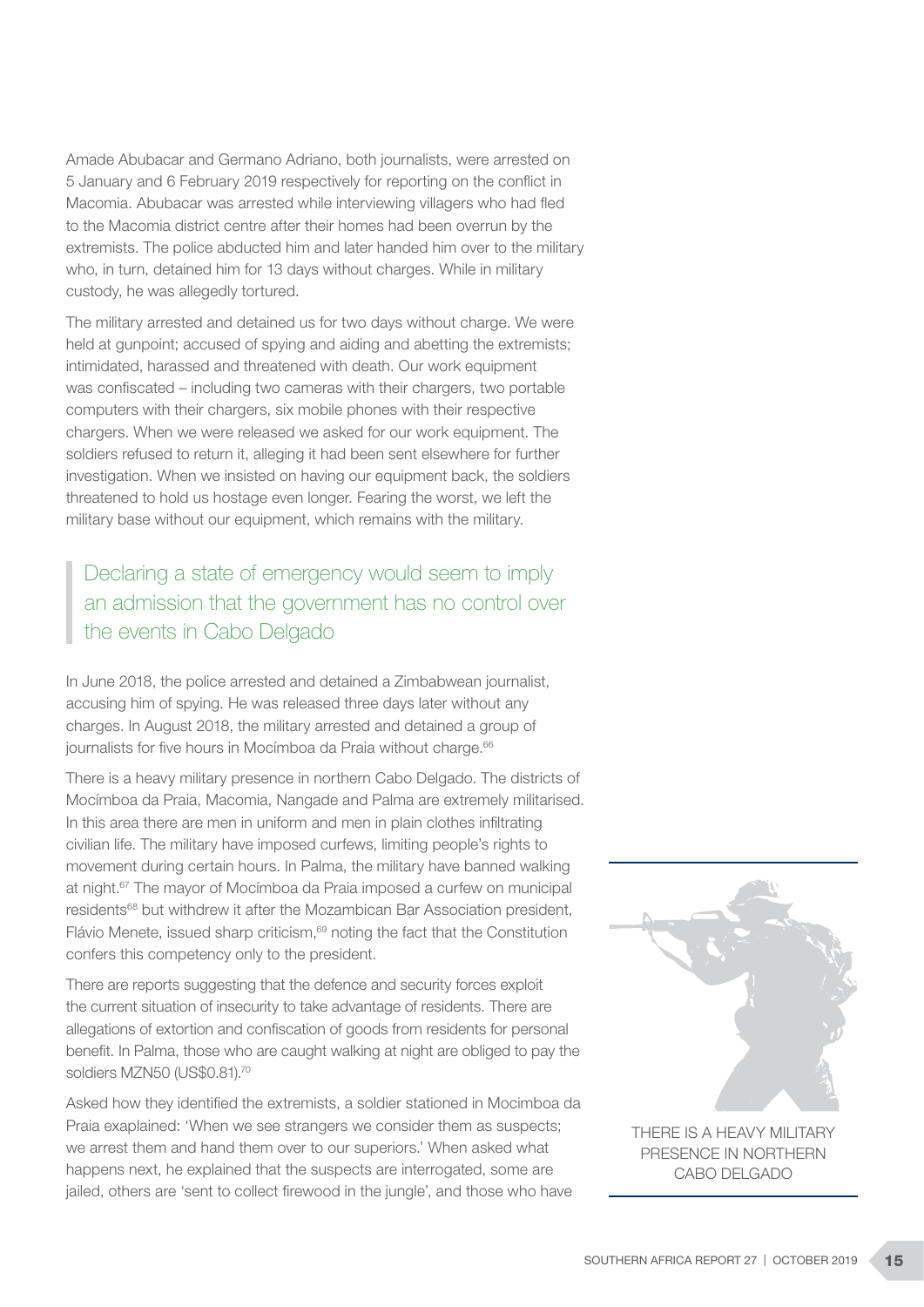Amade Abubacar and Germano Adriano, both journalists, were arrested on 5 January and 6 February 2019 respectively for reporting on the conflict in Macomia. Abubacar was arrested while interviewing villagers who had fled to the Macomia district centre after their homes had been overrun by the extremists. The police abducted him and later handed him over to the military who, in turn, detained him for 13 days without charges. While in military custody, he was allegedly tortured.

The military arrested and detained us for two days without charge. We were held at gunpoint; accused of spying and aiding and abetting the extremists; intimidated, harassed and threatened with death. Our work equipment was confiscated – including two cameras with their chargers, two portable computers with their chargers, six mobile phones with their respective chargers. When we were released we asked for our work equipment. The soldiers refused to return it, alleging it had been sent elsewhere for further investigation. When we insisted on having our equipment back, the soldiers threatened to hold us hostage even longer. Fearing the worst, we left the military base without our equipment, which remains with the military.

Declaring a state of emergency would seem to imply an admission that the government has no control over the events in Cabo Delgado

In June 2018, the police arrested and detained a Zimbabwean journalist, accusing him of spying. He was released three days later without any charges. In August 2018, the military arrested and detained a group of journalists for five hours in Mocímboa da Praia without charge.<sup>66</sup>

There is a heavy military presence in northern Cabo Delgado. The districts of Mocímboa da Praia, Macomia, Nangade and Palma are extremely militarised. In this area there are men in uniform and men in plain clothes infiltrating civilian life. The military have imposed curfews, limiting people's rights to movement during certain hours. In Palma, the military have banned walking at night.67 The mayor of Mocímboa da Praia imposed a curfew on municipal residents68 but withdrew it after the Mozambican Bar Association president, Flávio Menete, issued sharp criticism, $69$  noting the fact that the Constitution confers this competency only to the president.

There are reports suggesting that the defence and security forces exploit the current situation of insecurity to take advantage of residents. There are allegations of extortion and confiscation of goods from residents for personal benefit. In Palma, those who are caught walking at night are obliged to pay the soldiers MZN50 (US\$0.81).<sup>70</sup>

Asked how they identified the extremists, a soldier stationed in Mocimboa da Praia exaplained: 'When we see strangers we consider them as suspects; we arrest them and hand them over to our superiors.' When asked what happens next, he explained that the suspects are interrogated, some are jailed, others are 'sent to collect firewood in the jungle', and those who have



PRESENCE IN NORTHERN CABO DELGADO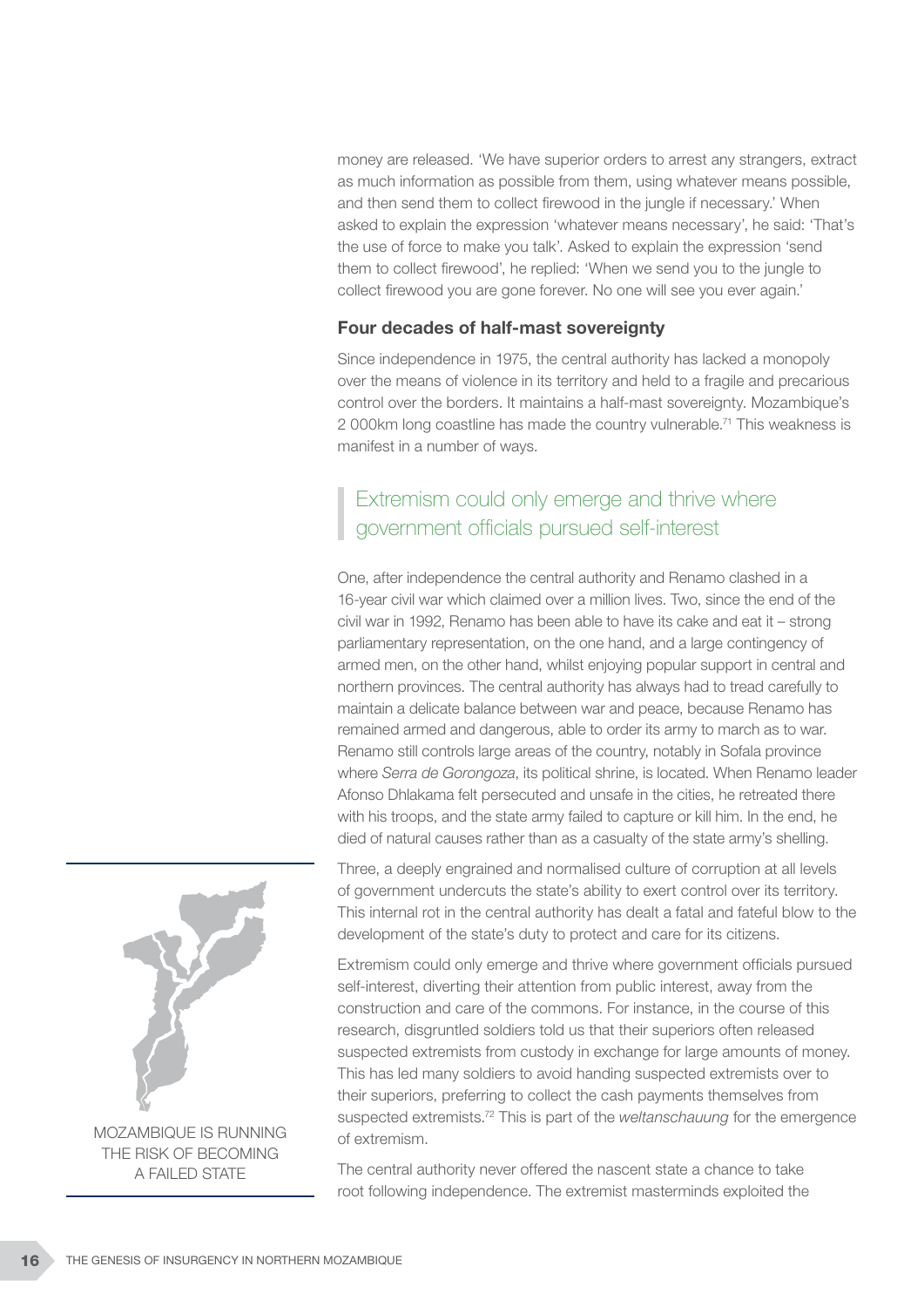money are released. 'We have superior orders to arrest any strangers, extract as much information as possible from them, using whatever means possible, and then send them to collect firewood in the jungle if necessary.' When asked to explain the expression 'whatever means necessary', he said: 'That's the use of force to make you talk'. Asked to explain the expression 'send them to collect firewood', he replied: 'When we send you to the jungle to collect firewood you are gone forever. No one will see you ever again.'

#### Four decades of half-mast sovereignty

Since independence in 1975, the central authority has lacked a monopoly over the means of violence in its territory and held to a fragile and precarious control over the borders. It maintains a half-mast sovereignty. Mozambique's 2 000km long coastline has made the country vulnerable.71 This weakness is manifest in a number of ways.

### Extremism could only emerge and thrive where government officials pursued self-interest

One, after independence the central authority and Renamo clashed in a 16-year civil war which claimed over a million lives. Two, since the end of the civil war in 1992, Renamo has been able to have its cake and eat it – strong parliamentary representation, on the one hand, and a large contingency of armed men, on the other hand, whilst enjoying popular support in central and northern provinces. The central authority has always had to tread carefully to maintain a delicate balance between war and peace, because Renamo has remained armed and dangerous, able to order its army to march as to war. Renamo still controls large areas of the country, notably in Sofala province where *Serra de Gorongoza*, its political shrine, is located. When Renamo leader Afonso Dhlakama felt persecuted and unsafe in the cities, he retreated there with his troops, and the state army failed to capture or kill him. In the end, he died of natural causes rather than as a casualty of the state army's shelling.

Three, a deeply engrained and normalised culture of corruption at all levels of government undercuts the state's ability to exert control over its territory. This internal rot in the central authority has dealt a fatal and fateful blow to the development of the state's duty to protect and care for its citizens.

Extremism could only emerge and thrive where government officials pursued self-interest, diverting their attention from public interest, away from the construction and care of the commons. For instance, in the course of this research, disgruntled soldiers told us that their superiors often released suspected extremists from custody in exchange for large amounts of money. This has led many soldiers to avoid handing suspected extremists over to their superiors, preferring to collect the cash payments themselves from suspected extremists.72 This is part of the *weltanschauung* for the emergence of extremism.

The central authority never offered the nascent state a chance to take root following independence. The extremist masterminds exploited the



MOZAMBIQUE IS RUNNING THE RISK OF BECOMING A FAILED STATE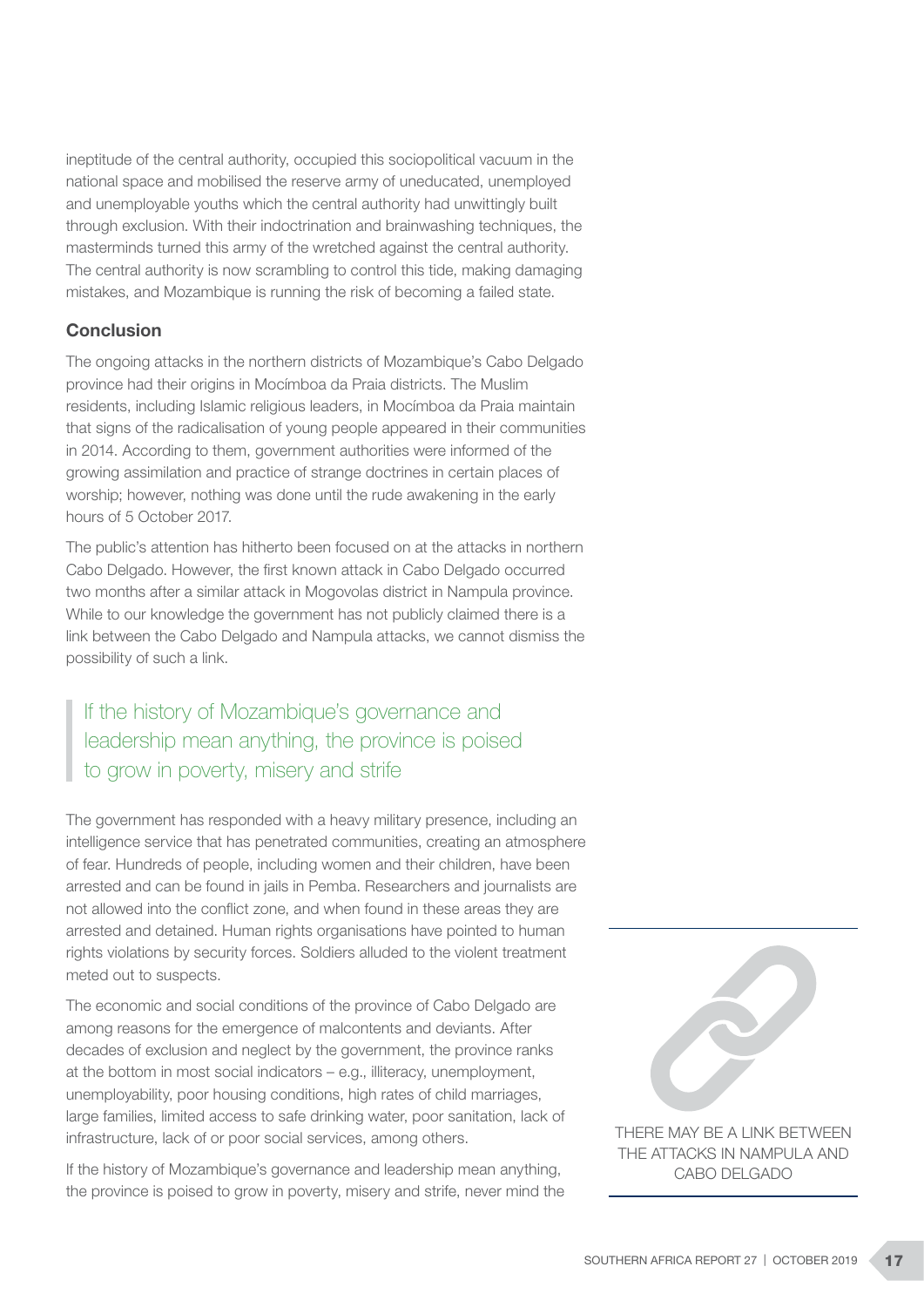ineptitude of the central authority, occupied this sociopolitical vacuum in the national space and mobilised the reserve army of uneducated, unemployed and unemployable youths which the central authority had unwittingly built through exclusion. With their indoctrination and brainwashing techniques, the masterminds turned this army of the wretched against the central authority. The central authority is now scrambling to control this tide, making damaging mistakes, and Mozambique is running the risk of becoming a failed state.

### Conclusion

The ongoing attacks in the northern districts of Mozambique's Cabo Delgado province had their origins in Mocímboa da Praia districts. The Muslim residents, including Islamic religious leaders, in Mocímboa da Praia maintain that signs of the radicalisation of young people appeared in their communities in 2014. According to them, government authorities were informed of the growing assimilation and practice of strange doctrines in certain places of worship; however, nothing was done until the rude awakening in the early hours of 5 October 2017.

The public's attention has hitherto been focused on at the attacks in northern Cabo Delgado. However, the first known attack in Cabo Delgado occurred two months after a similar attack in Mogovolas district in Nampula province. While to our knowledge the government has not publicly claimed there is a link between the Cabo Delgado and Nampula attacks, we cannot dismiss the possibility of such a link.

# If the history of Mozambique's governance and leadership mean anything, the province is poised to grow in poverty, misery and strife

The government has responded with a heavy military presence, including an intelligence service that has penetrated communities, creating an atmosphere of fear. Hundreds of people, including women and their children, have been arrested and can be found in jails in Pemba. Researchers and journalists are not allowed into the conflict zone, and when found in these areas they are arrested and detained. Human rights organisations have pointed to human rights violations by security forces. Soldiers alluded to the violent treatment meted out to suspects.

The economic and social conditions of the province of Cabo Delgado are among reasons for the emergence of malcontents and deviants. After decades of exclusion and neglect by the government, the province ranks at the bottom in most social indicators – e.g., illiteracy, unemployment, unemployability, poor housing conditions, high rates of child marriages, large families, limited access to safe drinking water, poor sanitation, lack of infrastructure, lack of or poor social services, among others.

If the history of Mozambique's governance and leadership mean anything, the province is poised to grow in poverty, misery and strife, never mind the



THE ATTACKS IN NAMPULA AND CABO DELGADO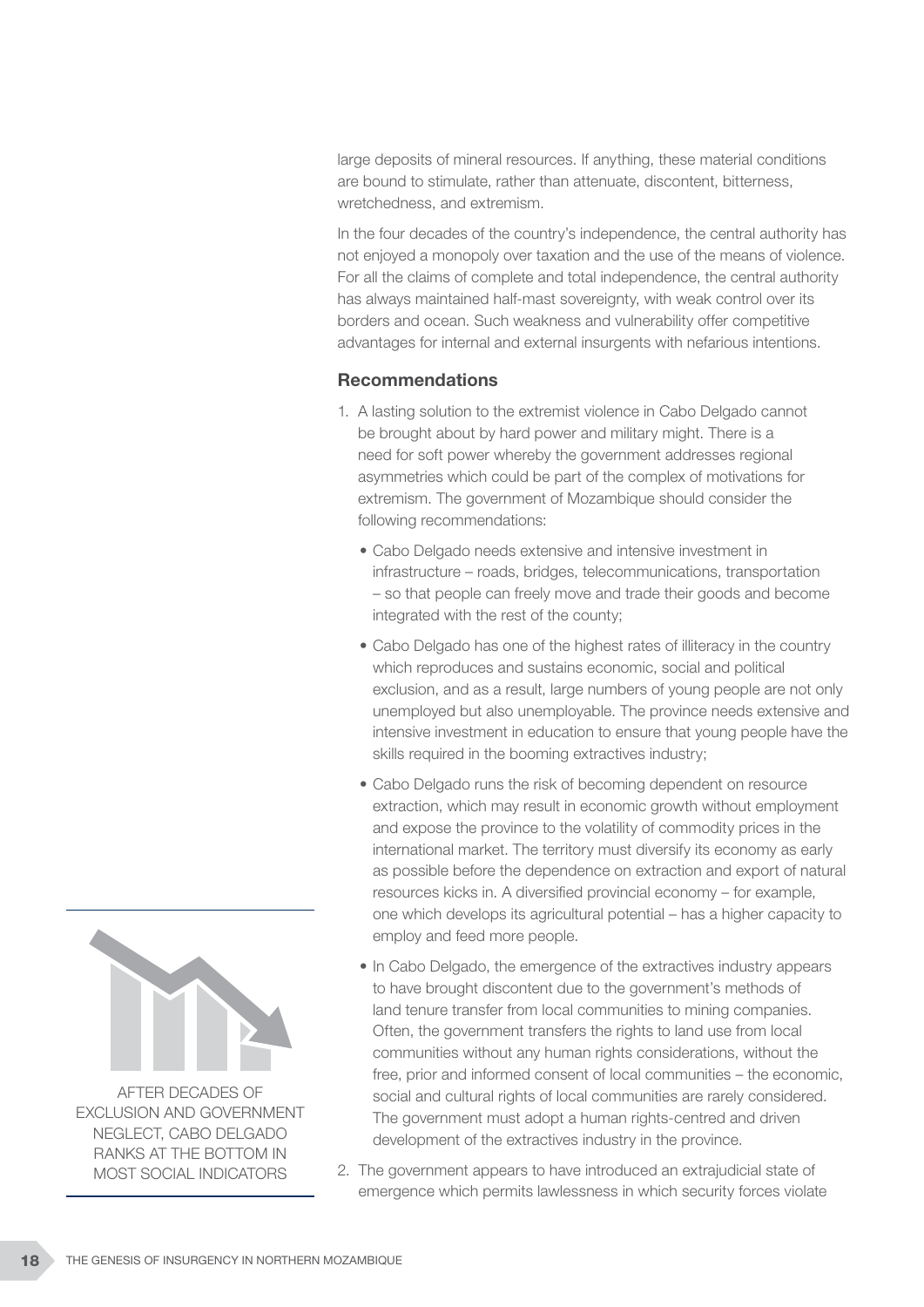large deposits of mineral resources. If anything, these material conditions are bound to stimulate, rather than attenuate, discontent, bitterness, wretchedness, and extremism.

In the four decades of the country's independence, the central authority has not enjoyed a monopoly over taxation and the use of the means of violence. For all the claims of complete and total independence, the central authority has always maintained half-mast sovereignty, with weak control over its borders and ocean. Such weakness and vulnerability offer competitive advantages for internal and external insurgents with nefarious intentions.

#### Recommendations

- 1. A lasting solution to the extremist violence in Cabo Delgado cannot be brought about by hard power and military might. There is a need for soft power whereby the government addresses regional asymmetries which could be part of the complex of motivations for extremism. The government of Mozambique should consider the following recommendations:
	- Cabo Delgado needs extensive and intensive investment in infrastructure – roads, bridges, telecommunications, transportation – so that people can freely move and trade their goods and become integrated with the rest of the county;
	- Cabo Delgado has one of the highest rates of illiteracy in the country which reproduces and sustains economic, social and political exclusion, and as a result, large numbers of young people are not only unemployed but also unemployable. The province needs extensive and intensive investment in education to ensure that young people have the skills required in the booming extractives industry;
	- Cabo Delgado runs the risk of becoming dependent on resource extraction, which may result in economic growth without employment and expose the province to the volatility of commodity prices in the international market. The territory must diversify its economy as early as possible before the dependence on extraction and export of natural resources kicks in. A diversified provincial economy – for example, one which develops its agricultural potential – has a higher capacity to employ and feed more people.
	- In Cabo Delgado, the emergence of the extractives industry appears to have brought discontent due to the government's methods of land tenure transfer from local communities to mining companies. Often, the government transfers the rights to land use from local communities without any human rights considerations, without the free, prior and informed consent of local communities – the economic, social and cultural rights of local communities are rarely considered. The government must adopt a human rights-centred and driven development of the extractives industry in the province.
- 2. The government appears to have introduced an extrajudicial state of emergence which permits lawlessness in which security forces violate



AFTER DECADES OF EXCLUSION AND GOVERNMENT NEGLECT, CABO DELGADO RANKS AT THE BOTTOM IN MOST SOCIAL INDICATORS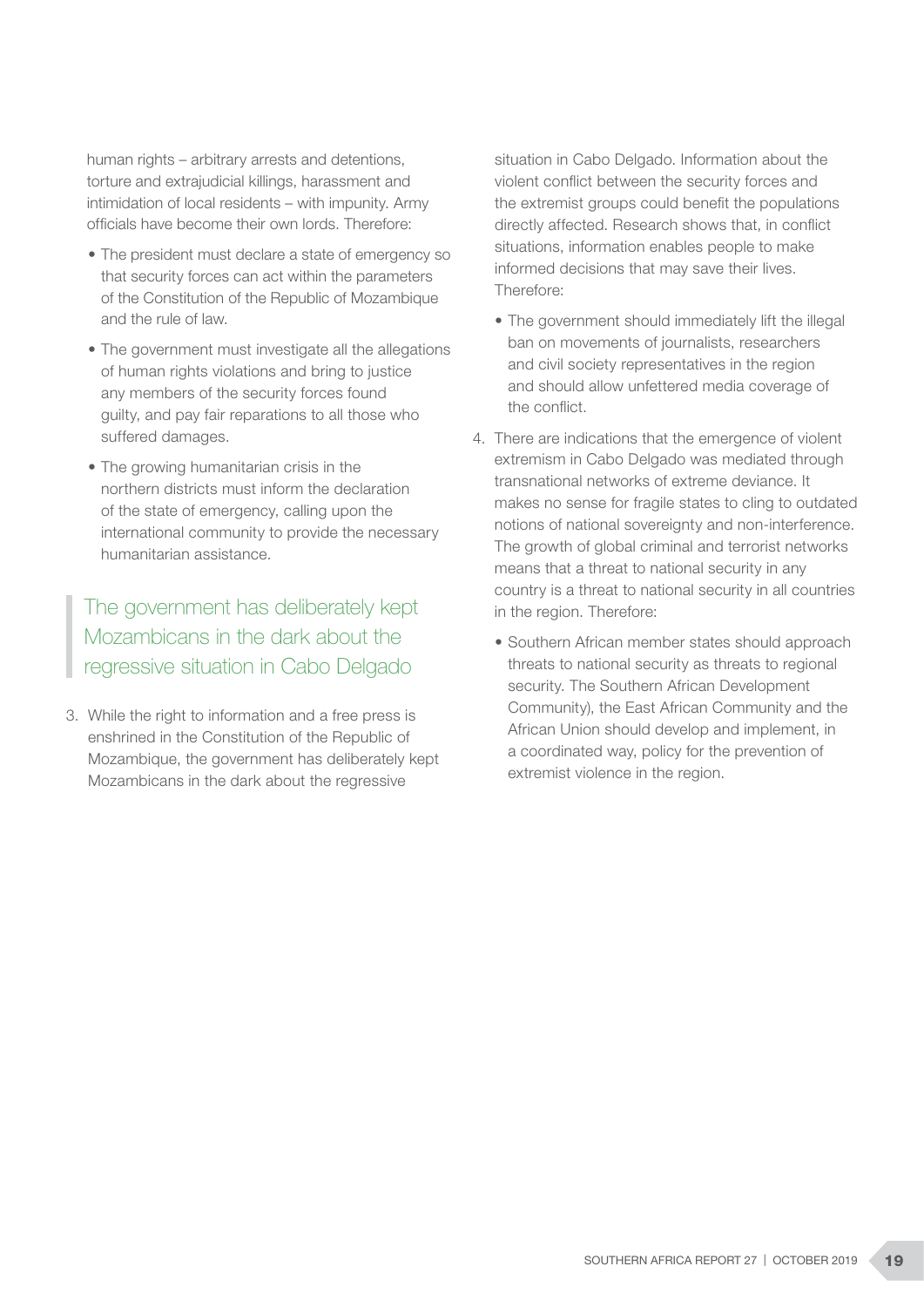human rights – arbitrary arrests and detentions, torture and extrajudicial killings, harassment and intimidation of local residents – with impunity. Army officials have become their own lords. Therefore:

- The president must declare a state of emergency so that security forces can act within the parameters of the Constitution of the Republic of Mozambique and the rule of law.
- The government must investigate all the allegations of human rights violations and bring to justice any members of the security forces found guilty, and pay fair reparations to all those who suffered damages.
- The growing humanitarian crisis in the northern districts must inform the declaration of the state of emergency, calling upon the international community to provide the necessary humanitarian assistance.

The government has deliberately kept Mozambicans in the dark about the regressive situation in Cabo Delgado

3. While the right to information and a free press is enshrined in the Constitution of the Republic of Mozambique, the government has deliberately kept Mozambicans in the dark about the regressive

situation in Cabo Delgado. Information about the violent conflict between the security forces and the extremist groups could benefit the populations directly affected. Research shows that, in conflict situations, information enables people to make informed decisions that may save their lives. Therefore:

- The government should immediately lift the illegal ban on movements of journalists, researchers and civil society representatives in the region and should allow unfettered media coverage of the conflict.
- 4. There are indications that the emergence of violent extremism in Cabo Delgado was mediated through transnational networks of extreme deviance. It makes no sense for fragile states to cling to outdated notions of national sovereignty and non-interference. The growth of global criminal and terrorist networks means that a threat to national security in any country is a threat to national security in all countries in the region. Therefore:
	- Southern African member states should approach threats to national security as threats to regional security. The Southern African Development Community), the East African Community and the African Union should develop and implement, in a coordinated way, policy for the prevention of extremist violence in the region.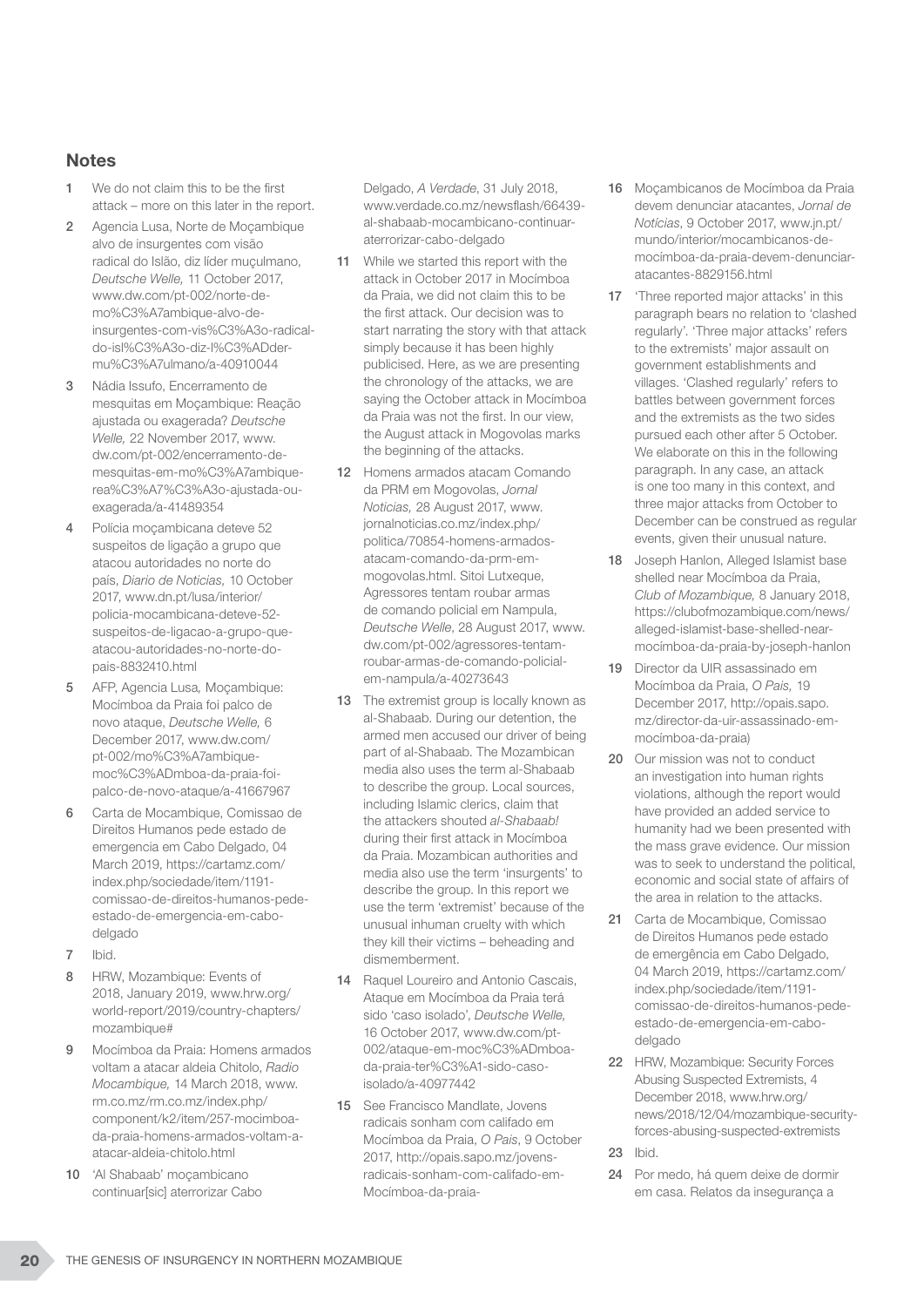### **Notes**

- 1 We do not claim this to be the first attack – more on this later in the report.
- 2 Agencia Lusa, Norte de Moçambique alvo de insurgentes com visão radical do Islão, diz líder muçulmano, *Deutsche Welle,* 11 October 2017, www.dw.com/pt-002/norte-demo%C3%A7ambique-alvo-deinsurgentes-com-vis%C3%A3o-radicaldo-isl%C3%A3o-diz-l%C3%ADdermu%C3%A7ulmano/a-40910044
- 3 Nádia Issufo, Encerramento de mesquitas em Moçambique: Reação ajustada ou exagerada? *Deutsche Welle,* 22 November 2017, www. dw.com/pt-002/encerramento-demesquitas-em-mo%C3%A7ambiquerea%C3%A7%C3%A3o-ajustada-ouexagerada/a-41489354
- 4 Polícia moçambicana deteve 52 suspeitos de ligação a grupo que atacou autoridades no norte do país, *Diario de Noticias,* 10 October 2017, www.dn.pt/lusa/interior/ policia-mocambicana-deteve-52 suspeitos-de-ligacao-a-grupo-queatacou-autoridades-no-norte-dopais-8832410.html
- 5 AFP, Agencia Lusa*,* Moçambique: Mocímboa da Praia foi palco de novo ataque, *Deutsche Welle,* 6 December 2017, www.dw.com/ pt-002/mo%C3%A7ambiquemoc%C3%ADmboa-da-praia-foipalco-de-novo-ataque/a-41667967
- 6 Carta de Mocambique, Comissao de Direitos Humanos pede estado de emergencia em Cabo Delgado, 04 March 2019, https://cartamz.com/ index.php/sociedade/item/1191 comissao-de-direitos-humanos-pedeestado-de-emergencia-em-cabodelgado
- 7 Ibid.
- 8 HRW, Mozambique: Events of 2018, January 2019, www.hrw.org/ world-report/2019/country-chapters/ mozambique#
- 9 Mocímboa da Praia: Homens armados voltam a atacar aldeia Chitolo, *Radio Mocambique,* 14 March 2018, www. rm.co.mz/rm.co.mz/index.php/ component/k2/item/257-mocimboada-praia-homens-armados-voltam-aatacar-aldeia-chitolo.html
- 10 'Al Shabaab' moçambicano continuar[sic] aterrorizar Cabo

Delgado, *A Verdade*, 31 July 2018, www.verdade.co.mz/newsflash/66439 al-shabaab-mocambicano-continuaraterrorizar-cabo-delgado

- 11 While we started this report with the attack in October 2017 in Mocímboa da Praia, we did not claim this to be the first attack. Our decision was to start narrating the story with that attack simply because it has been highly publicised. Here, as we are presenting the chronology of the attacks, we are saying the October attack in Mocímboa da Praia was not the first. In our view, the August attack in Mogovolas marks the beginning of the attacks.
- 12 Homens armados atacam Comando da PRM em Mogovolas, *Jornal Noticias,* 28 August 2017, www. jornalnoticias.co.mz/index.php/ politica/70854-homens-armadosatacam-comando-da-prm-emmogovolas.html. Sitoi Lutxeque, Agressores tentam roubar armas de comando policial em Nampula, *Deutsche Welle*, 28 August 2017, www. dw.com/pt-002/agressores-tentamroubar-armas-de-comando-policialem-nampula/a-40273643
- 13 The extremist group is locally known as al-Shabaab. During our detention, the armed men accused our driver of being part of al-Shabaab. The Mozambican media also uses the term al-Shabaab to describe the group. Local sources, including Islamic clerics, claim that the attackers shouted *al-Shabaab!* during their first attack in Mocímboa da Praia. Mozambican authorities and media also use the term 'insurgents' to describe the group. In this report we use the term 'extremist' because of the unusual inhuman cruelty with which they kill their victims – beheading and dismemberment.
- 14 Raquel Loureiro and Antonio Cascais, Ataque em Mocímboa da Praia terá sido 'caso isolado', *Deutsche Welle,*  16 October 2017, www.dw.com/pt-002/ataque-em-moc%C3%ADmboada-praia-ter%C3%A1-sido-casoisolado/a-40977442
- 15 See Francisco Mandlate, Jovens radicais sonham com califado em Mocímboa da Praia, *O Pais*, 9 October 2017, http://opais.sapo.mz/jovensradicais-sonham-com-califado-em-Mocímboa-da-praia-
- 16 Moçambicanos de Mocímboa da Praia devem denunciar atacantes, *Jornal de Notícias*, 9 October 2017, www.jn.pt/ mundo/interior/mocambicanos-democímboa-da-praia-devem-denunciaratacantes-8829156.html
- 17 Three reported major attacks' in this paragraph bears no relation to 'clashed regularly'. 'Three major attacks' refers to the extremists' major assault on government establishments and villages. 'Clashed regularly' refers to battles between government forces and the extremists as the two sides pursued each other after 5 October. We elaborate on this in the following paragraph. In any case, an attack is one too many in this context, and three major attacks from October to December can be construed as regular events, given their unusual nature.
- 18 Joseph Hanlon, Alleged Islamist base shelled near Mocímboa da Praia, *Club of Mozambique,* 8 January 2018, https://clubofmozambique.com/news/ alleged-islamist-base-shelled-nearmocímboa-da-praia-by-joseph-hanlon
- 19 Director da UIR assassinado em Mocímboa da Praia, *O Pais,* 19 December 2017, http://opais.sapo. mz/director-da-uir-assassinado-emmocímboa-da-praia)
- 20 Our mission was not to conduct an investigation into human rights violations, although the report would have provided an added service to humanity had we been presented with the mass grave evidence. Our mission was to seek to understand the political, economic and social state of affairs of the area in relation to the attacks.
- 21 Carta de Mocambique, Comissao de Direitos Humanos pede estado de emergência em Cabo Delgado, 04 March 2019, https://cartamz.com/ index.php/sociedade/item/1191 comissao-de-direitos-humanos-pedeestado-de-emergencia-em-cabodelgado
- 22 HRW, Mozambique: Security Forces Abusing Suspected Extremists, 4 December 2018, www.hrw.org/ news/2018/12/04/mozambique-securityforces-abusing-suspected-extremists

#### 23 Ibid.

24 Por medo, há quem deixe de dormir em casa. Relatos da insegurança a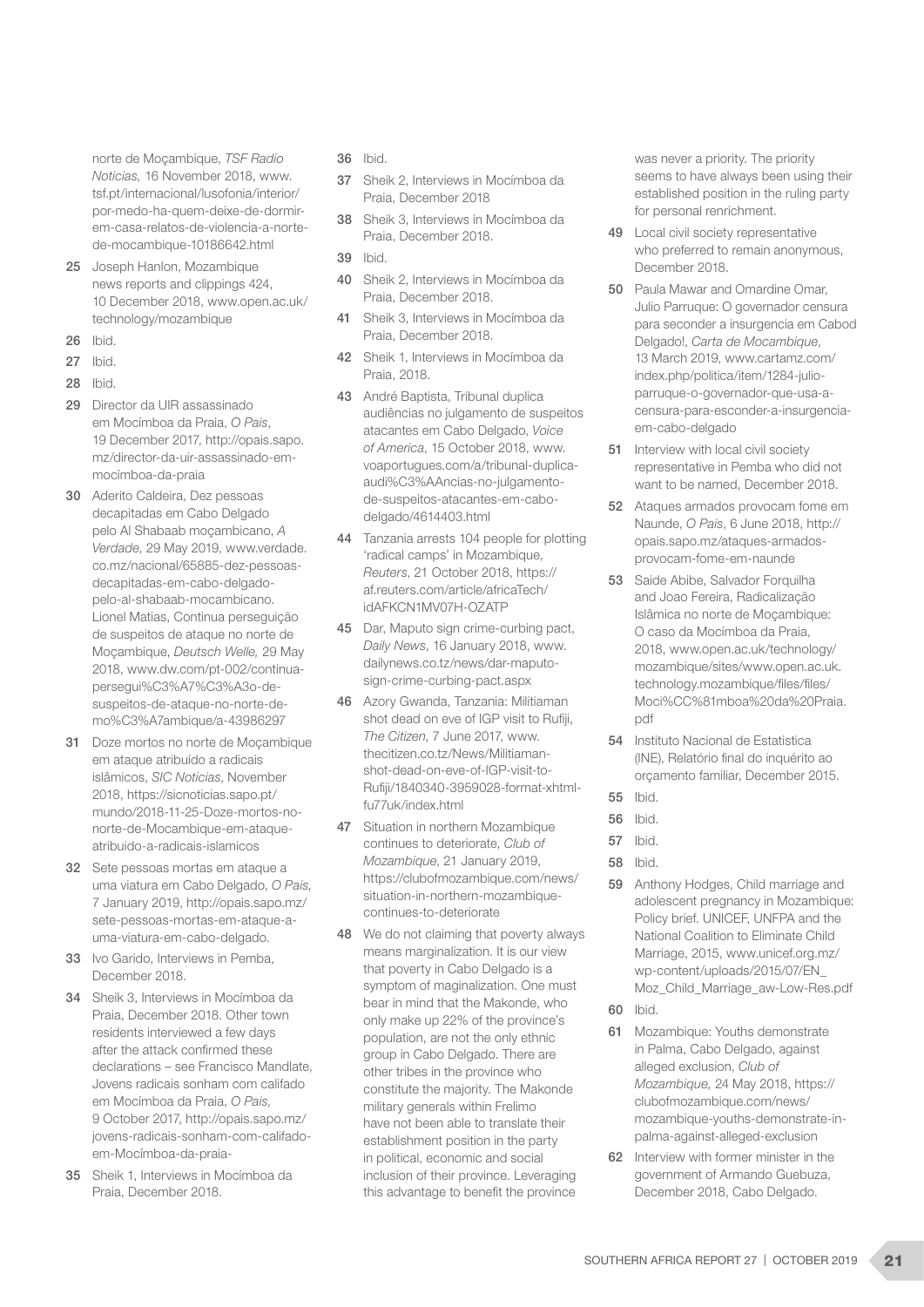norte de Moçambique, *TSF Radio Noticias,* 16 November 2018, www. tsf.pt/internacional/lusofonia/interior/ por-medo-ha-quem-deixe-de-dormirem-casa-relatos-de-violencia-a-nortede-mocambique-10186642.html

- 25 Joseph Hanlon, Mozambique news reports and clippings 424, 10 December 2018, www.open.ac.uk/ technology/mozambique
- 26 Ibid.
- 27 Ibid.
- 28 Ibid.
- 29 Director da UIR assassinado em Mocímboa da Praia, *O Pais*, 19 December 2017, http://opais.sapo. mz/director-da-uir-assassinado-emmocímboa-da-praia
- 30 Aderito Caldeira, Dez pessoas decapitadas em Cabo Delgado pelo Al Shabaab moçambicano, *A Verdade*, 29 May 2019, www.verdade. co.mz/nacional/65885-dez-pessoasdecapitadas-em-cabo-delgadopelo-al-shabaab-mocambicano. Lionel Matias, Continua perseguição de suspeitos de ataque no norte de Moçambique, *Deutsch Welle,* 29 May 2018, www.dw.com/pt-002/continuapersegui%C3%A7%C3%A3o-desuspeitos-de-ataque-no-norte-demo%C3%A7ambique/a-43986297
- 31 Doze mortos no norte de Moçambique em ataque atribuído a radicais islâmicos, *SIC Noticias*, November 2018, https://sicnoticias.sapo.pt/ mundo/2018-11-25-Doze-mortos-nonorte-de-Mocambique-em-ataqueatribuido-a-radicais-islamicos
- 32 Sete pessoas mortas em ataque a uma viatura em Cabo Delgado, *O Pais,*  7 January 2019, http://opais.sapo.mz/ sete-pessoas-mortas-em-ataque-auma-viatura-em-cabo-delgado.
- 33 Ivo Garido, Interviews in Pemba, December 2018.
- 34 Sheik 3, Interviews in Mocímboa da Praia, December 2018. Other town residents interviewed a few days after the attack confirmed these declarations – see Francisco Mandlate, Jovens radicais sonham com califado em Mocímboa da Praia, *O Pais,* 9 October 2017, http://opais.sapo.mz/ jovens-radicais-sonham-com-califadoem-Mocímboa-da-praia-
- 35 Sheik 1, Interviews in Mocímboa da Praia, December 2018.
- 36 Ibid.
- 37 Sheik 2, Interviews in Mocímboa da Praia, December 2018
- 38 Sheik 3, Interviews in Mocímboa da Praia, December 2018.
- 39 Ibid.
- 40 Sheik 2, Interviews in Mocímboa da Praia, December 2018.
- 41 Sheik 3, Interviews in Mocímboa da Praia, December 2018.
- 42 Sheik 1, Interviews in Mocímboa da Praia, 2018.
- 43 André Baptista, Tribunal duplica audiências no julgamento de suspeitos atacantes em Cabo Delgado, *Voice of America*, 15 October 2018, www. voaportugues.com/a/tribunal-duplicaaudi%C3%AAncias-no-julgamentode-suspeitos-atacantes-em-cabodelgado/4614403.html
- 44 Tanzania arrests 104 people for plotting 'radical camps' in Mozambique, *Reuters*, 21 October 2018, https:// af.reuters.com/article/africaTech/ idAFKCN1MV07H-OZATP
- 45 Dar, Maputo sign crime-curbing pact, *Daily News*, 16 January 2018, www. dailynews.co.tz/news/dar-maputosign-crime-curbing-pact.aspx
- 46 Azory Gwanda, Tanzania: Militiaman shot dead on eve of IGP visit to Rufiji, *The Citizen*, 7 June 2017, www. thecitizen.co.tz/News/Militiamanshot-dead-on-eve-of-IGP-visit-to-Rufiji/1840340-3959028-format-xhtmlfu77uk/index.html
- 47 Situation in northern Mozambique continues to deteriorate, *Club of Mozambique*, 21 January 2019, https://clubofmozambique.com/news/ situation-in-northern-mozambiquecontinues-to-deteriorate
- 48 We do not claiming that poverty always means marginalization. It is our view that poverty in Cabo Delgado is a symptom of maginalization. One must bear in mind that the Makonde, who only make up 22% of the province's population, are not the only ethnic group in Cabo Delgado. There are other tribes in the province who constitute the majority. The Makonde military generals within Frelimo have not been able to translate their establishment position in the party in political, economic and social inclusion of their province. Leveraging this advantage to benefit the province

was never a priority. The priority seems to have always been using their established position in the ruling party for personal renrichment.

- 49 Local civil society representative who preferred to remain anonymous, December 2018.
- 50 Paula Mawar and Omardine Omar, Julio Parruque: O governador censura para seconder a insurgencia em Cabod Delgado!, *Carta de Mocambique*, 13 March 2019, www.cartamz.com/ index.php/politica/item/1284-julioparruque-o-governador-que-usa-acensura-para-esconder-a-insurgenciaem-cabo-delgado
- 51 Interview with local civil society representative in Pemba who did not want to be named, December 2018.
- 52 Ataques armados provocam fome em Naunde, *O Pais*, 6 June 2018, http:// opais.sapo.mz/ataques-armadosprovocam-fome-em-naunde
- 53 Saide Abibe, Salvador Forquilha and Joao Fereira, Radicalização Islâmica no norte de Moçambique: O caso da Mocímboa da Praia, 2018, www.open.ac.uk/technology/ mozambique/sites/www.open.ac.uk. technology.mozambique/files/files/ Moci%CC%81mboa%20da%20Praia. pdf
- 54 Instituto Nacional de Estatistica (INE), Relatório final do inquérito ao orçamento familiar, December 2015.
- 55 Ibid.
- 56 Ibid.
- 57 Ibid.
- 58 Ibid.
- 59 Anthony Hodges, Child marriage and adolescent pregnancy in Mozambique: Policy brief. UNICEF, UNFPA and the National Coalition to Eliminate Child Marriage, 2015, www.unicef.org.mz/ wp-content/uploads/2015/07/EN\_ Moz\_Child\_Marriage\_aw-Low-Res.pdf

60 Ibid.

- 61 Mozambique: Youths demonstrate in Palma, Cabo Delgado, against alleged exclusion, *Club of Mozambique,* 24 May 2018, https:// clubofmozambique.com/news/ mozambique-youths-demonstrate-inpalma-against-alleged-exclusion
- 62 Interview with former minister in the government of Armando Guebuza, December 2018, Cabo Delgado.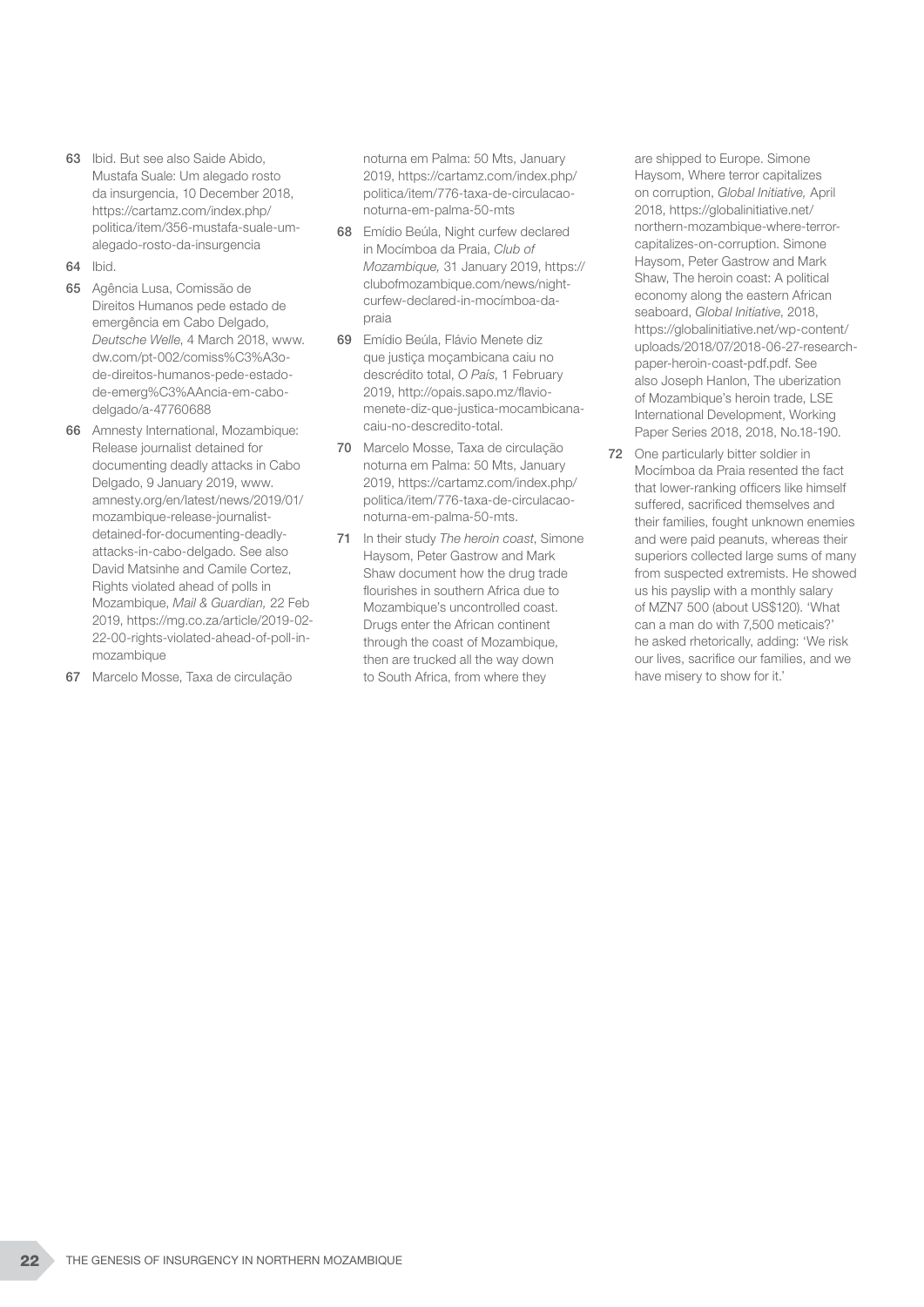- 63 Ibid. But see also Saide Abido, Mustafa Suale: Um alegado rosto da insurgencia, 10 December 2018, https://cartamz.com/index.php/ politica/item/356-mustafa-suale-umalegado-rosto-da-insurgencia
- 64 Ibid.
- 65 Agência Lusa, Comissão de Direitos Humanos pede estado de emergência em Cabo Delgado, *Deutsche Welle*, 4 March 2018, www. dw.com/pt-002/comiss%C3%A3ode-direitos-humanos-pede-estadode-emerg%C3%AAncia-em-cabodelgado/a-47760688
- 66 Amnesty International, Mozambique: Release journalist detained for documenting deadly attacks in Cabo Delgado, 9 January 2019, www. amnesty.org/en/latest/news/2019/01/ mozambique-release-journalistdetained-for-documenting-deadlyattacks-in-cabo-delgado. See also David Matsinhe and Camile Cortez, Rights violated ahead of polls in Mozambique, *Mail & Guardian,* 22 Feb 2019, https://mg.co.za/article/2019-02- 22-00-rights-violated-ahead-of-poll-inmozambique
- 67 Marcelo Mosse, Taxa de circulação

noturna em Palma: 50 Mts, January 2019, https://cartamz.com/index.php/ politica/item/776-taxa-de-circulacaonoturna-em-palma-50-mts

- 68 Emídio Beúla, Night curfew declared in Mocímboa da Praia, *Club of Mozambique,* 31 January 2019, https:// clubofmozambique.com/news/nightcurfew-declared-in-mocímboa-dapraia
- 69 Emídio Beúla, Flávio Menete diz que justiça moçambicana caiu no descrédito total, *O País*, 1 February 2019, http://opais.sapo.mz/flaviomenete-diz-que-justica-mocambicanacaiu-no-descredito-total.
- 70 Marcelo Mosse, Taxa de circulação noturna em Palma: 50 Mts, January 2019, https://cartamz.com/index.php/ politica/item/776-taxa-de-circulacaonoturna-em-palma-50-mts.
- 71 In their study *The heroin coast*, Simone Haysom, Peter Gastrow and Mark Shaw document how the drug trade flourishes in southern Africa due to Mozambique's uncontrolled coast. Drugs enter the African continent through the coast of Mozambique, then are trucked all the way down to South Africa, from where they

are shipped to Europe. Simone Haysom, Where terror capitalizes on corruption, *Global Initiative,* April 2018, https://globalinitiative.net/ northern-mozambique-where-terrorcapitalizes-on-corruption. Simone Haysom, Peter Gastrow and Mark Shaw, The heroin coast: A political economy along the eastern African seaboard, *Global Initiative*, 2018, https://globalinitiative.net/wp-content/ uploads/2018/07/2018-06-27-researchpaper-heroin-coast-pdf.pdf. See also Joseph Hanlon, The uberization of Mozambique's heroin trade, LSE International Development, Working Paper Series 2018, 2018, No.18-190.

72 One particularly bitter soldier in Mocímboa da Praia resented the fact that lower-ranking officers like himself suffered, sacrificed themselves and their families, fought unknown enemies and were paid peanuts, whereas their superiors collected large sums of many from suspected extremists. He showed us his payslip with a monthly salary of MZN7 500 (about US\$120). 'What can a man do with 7,500 meticais?' he asked rhetorically, adding: 'We risk our lives, sacrifice our families, and we have misery to show for it.'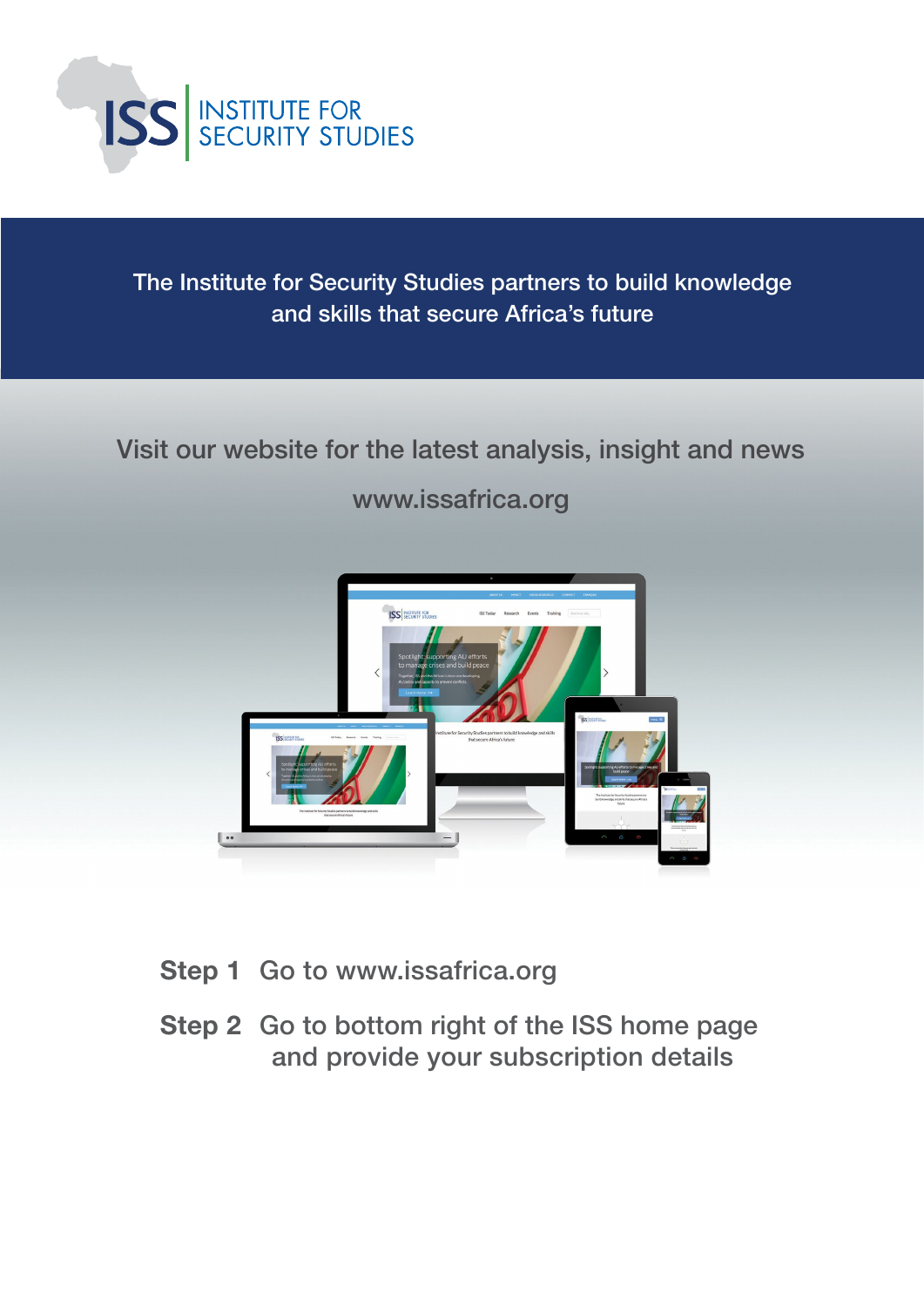

The Institute for Security Studies partners to build knowledge and skills that secure Africa's future

# Visit our website for the latest analysis, insight and news

www.issafrica.org



- Step 1 Go to www.issafrica.org
- Step 2 Go to bottom right of the ISS home page and provide your subscription details